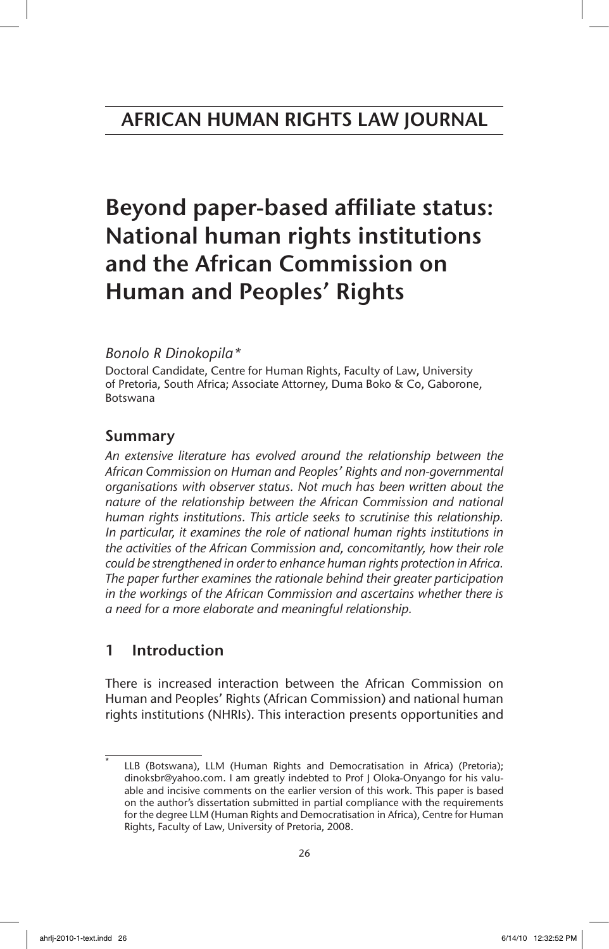# Beyond paper-based affiliate status: National human rights institutions and the African Commission on Human and Peoples' Rights

## *Bonolo R Dinokopila\**

Doctoral Candidate, Centre for Human Rights, Faculty of Law, University of Pretoria, South Africa; Associate Attorney, Duma Boko & Co, Gaborone, Botswana

# Summary

*An extensive literature has evolved around the relationship between the African Commission on Human and Peoples' Rights and non-governmental organisations with observer status. Not much has been written about the*  nature of the relationship between the African Commission and national *human rights institutions. This article seeks to scrutinise this relationship. In particular, it examines the role of national human rights institutions in the activities of the African Commission and, concomitantly, how their role could be strengthened in order to enhance human rights protection in Africa. The paper further examines the rationale behind their greater participation in the workings of the African Commission and ascertains whether there is a need for a more elaborate and meaningful relationship.*

# 1 Introduction

There is increased interaction between the African Commission on Human and Peoples' Rights (African Commission) and national human rights institutions (NHRIs). This interaction presents opportunities and

LLB (Botswana), LLM (Human Rights and Democratisation in Africa) (Pretoria); dinoksbr@yahoo.com. I am greatly indebted to Prof J Oloka-Onyango for his valuable and incisive comments on the earlier version of this work. This paper is based on the author's dissertation submitted in partial compliance with the requirements for the degree LLM (Human Rights and Democratisation in Africa), Centre for Human Rights, Faculty of Law, University of Pretoria, 2008.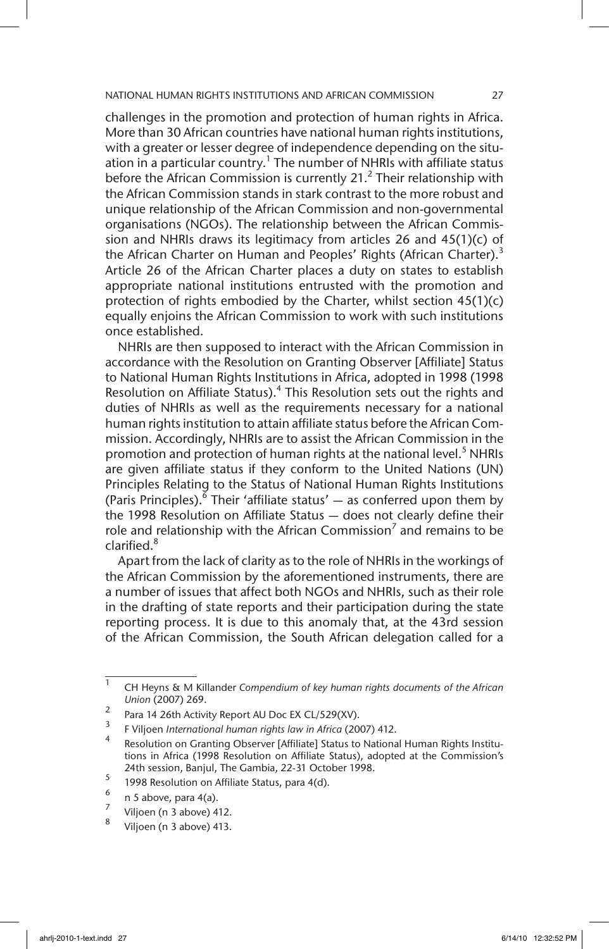challenges in the promotion and protection of human rights in Africa. More than 30 African countries have national human rights institutions, with a greater or lesser degree of independence depending on the situation in a particular country.<sup>1</sup> The number of NHRIs with affiliate status before the African Commission is currently 21. $<sup>2</sup>$  Their relationship with</sup> the African Commission stands in stark contrast to the more robust and unique relationship of the African Commission and non-governmental organisations (NGOs). The relationship between the African Commission and NHRIs draws its legitimacy from articles 26 and 45(1)(c) of the African Charter on Human and Peoples' Rights (African Charter).<sup>3</sup> Article 26 of the African Charter places a duty on states to establish appropriate national institutions entrusted with the promotion and protection of rights embodied by the Charter, whilst section 45(1)(c) equally enjoins the African Commission to work with such institutions once established.

NHRIs are then supposed to interact with the African Commission in accordance with the Resolution on Granting Observer [Affiliate] Status to National Human Rights Institutions in Africa, adopted in 1998 (1998 Resolution on Affiliate Status).<sup>4</sup> This Resolution sets out the rights and duties of NHRIs as well as the requirements necessary for a national human rights institution to attain affiliate status before the African Commission. Accordingly, NHRIs are to assist the African Commission in the promotion and protection of human rights at the national level.<sup>5</sup> NHRIs are given affiliate status if they conform to the United Nations (UN) Principles Relating to the Status of National Human Rights Institutions (Paris Principles).<sup> $\delta$ </sup> Their 'affiliate status'  $-$  as conferred upon them by the 1998 Resolution on Affiliate Status — does not clearly define their role and relationship with the African Commission<sup>7</sup> and remains to be clarified.<sup>8</sup>

Apart from the lack of clarity as to the role of NHRIs in the workings of the African Commission by the aforementioned instruments, there are a number of issues that affect both NGOs and NHRIs, such as their role in the drafting of state reports and their participation during the state reporting process. It is due to this anomaly that, at the 43rd session of the African Commission, the South African delegation called for a

<sup>1</sup> CH Heyns & M Killander *Compendium of key human rights documents of the African Union* (2007) 269.

<sup>&</sup>lt;sup>2</sup> Para 14 26th Activity Report AU Doc EX CL/529(XV).

<sup>3</sup> F Viljoen *International human rights law in Africa* (2007) 412.

<sup>4</sup> Resolution on Granting Observer [Affiliate] Status to National Human Rights Institutions in Africa (1998 Resolution on Affiliate Status), adopted at the Commission's 24th session, Banjul, The Gambia, 22-31 October 1998.

 $\frac{5}{6}$  1998 Resolution on Affiliate Status, para 4(d).

 $\frac{6}{7}$  n 5 above, para 4(a).

 $\frac{7}{8}$  Viljoen (n 3 above) 412.

Viljoen (n 3 above) 413.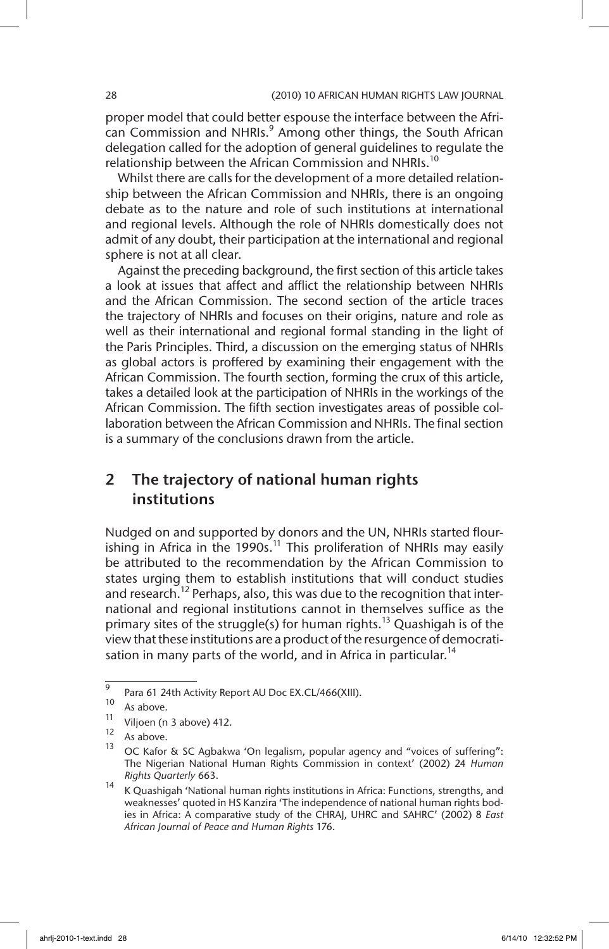proper model that could better espouse the interface between the African Commission and NHRIs.<sup>9</sup> Among other things, the South African delegation called for the adoption of general guidelines to regulate the relationship between the African Commission and NHRIs.<sup>10</sup>

Whilst there are calls for the development of a more detailed relationship between the African Commission and NHRIs, there is an ongoing debate as to the nature and role of such institutions at international and regional levels. Although the role of NHRIs domestically does not admit of any doubt, their participation at the international and regional sphere is not at all clear.

Against the preceding background, the first section of this article takes a look at issues that affect and afflict the relationship between NHRIs and the African Commission. The second section of the article traces the trajectory of NHRIs and focuses on their origins, nature and role as well as their international and regional formal standing in the light of the Paris Principles. Third, a discussion on the emerging status of NHRIs as global actors is proffered by examining their engagement with the African Commission. The fourth section, forming the crux of this article, takes a detailed look at the participation of NHRIs in the workings of the African Commission. The fifth section investigates areas of possible collaboration between the African Commission and NHRIs. The final section is a summary of the conclusions drawn from the article.

# 2 The trajectory of national human rights institutions

Nudged on and supported by donors and the UN, NHRIs started flourishing in Africa in the 1990s.<sup>11</sup> This proliferation of NHRIs may easily be attributed to the recommendation by the African Commission to states urging them to establish institutions that will conduct studies and research.<sup>12</sup> Perhaps, also, this was due to the recognition that international and regional institutions cannot in themselves suffice as the primary sites of the struggle(s) for human rights.<sup>13</sup> Quashigah is of the view that these institutions are a product of the resurgence of democratisation in many parts of the world, and in Africa in particular.<sup>14</sup>

 $\frac{9}{9}$  Para 61 24th Activity Report AU Doc EX.CL/466(XIII).

 $\frac{10}{11}$  As above.

 $\frac{11}{12}$  Viljoen (n 3 above) 412.

 $12$  As above.

<sup>13</sup> OC Kafor & SC Agbakwa 'On legalism, popular agency and "voices of suffering": The Nigerian National Human Rights Commission in context' (2002) 24 *Human Rights Quarterly* 663.

<sup>14</sup> K Quashigah 'National human rights institutions in Africa: Functions, strengths, and<br>14 K Quashigah 'National human rights institutions in Africa: Functions, strengths, and weaknesses' quoted in HS Kanzira 'The independence of national human rights bodies in Africa: A comparative study of the CHRAJ, UHRC and SAHRC' (2002) 8 *East African Journal of Peace and Human Rights* 176.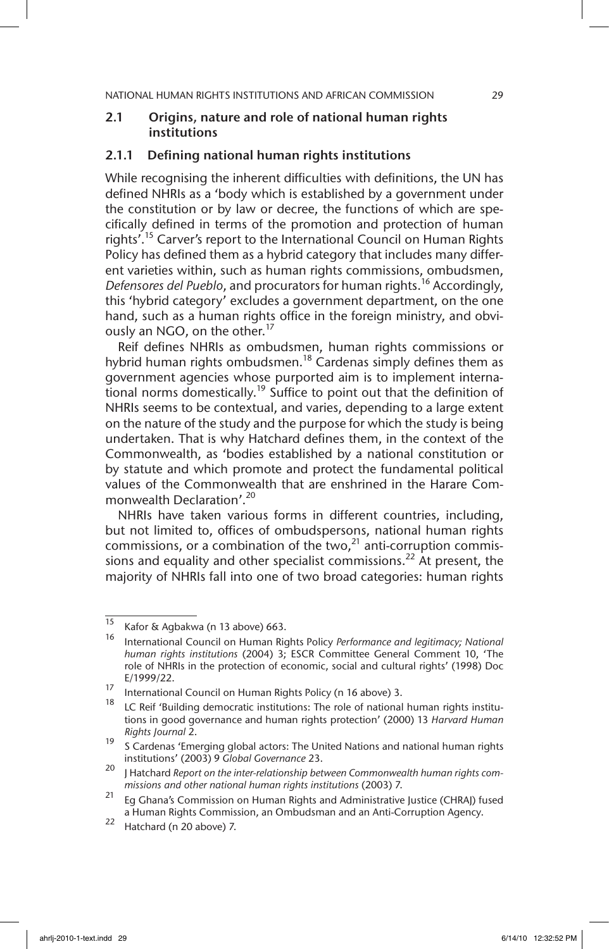## 2.1 Origins, nature and role of national human rights institutions

#### 2.1.1 Defining national human rights institutions

While recognising the inherent difficulties with definitions, the UN has defined NHRIs as a 'body which is established by a government under the constitution or by law or decree, the functions of which are specifically defined in terms of the promotion and protection of human rights'.<sup>15</sup> Carver's report to the International Council on Human Rights Policy has defined them as a hybrid category that includes many different varieties within, such as human rights commissions, ombudsmen, *Defensores del Pueblo*, and procurators for human rights.16 Accordingly, this 'hybrid category' excludes a government department, on the one hand, such as a human rights office in the foreign ministry, and obviously an NGO, on the other.<sup>17</sup>

Reif defines NHRIs as ombudsmen, human rights commissions or hybrid human rights ombudsmen.<sup>18</sup> Cardenas simply defines them as government agencies whose purported aim is to implement interna- $\frac{3}{2}$  tional norms domestically.<sup>19</sup> Suffice to point out that the definition of NHRIs seems to be contextual, and varies, depending to a large extent on the nature of the study and the purpose for which the study is being undertaken. That is why Hatchard defines them, in the context of the Commonwealth, as 'bodies established by a national constitution or by statute and which promote and protect the fundamental political values of the Commonwealth that are enshrined in the Harare Commonwealth Declaration'.20

NHRIs have taken various forms in different countries, including, but not limited to, offices of ombudspersons, national human rights commissions, or a combination of the two, $^{21}$  anti-corruption commissions and equality and other specialist commissions.<sup>22</sup> At present, the majority of NHRIs fall into one of two broad categories: human rights

 $\frac{15}{15}$  Kafor & Agbakwa (n 13 above) 663.

<sup>16</sup> International Council on Human Rights Policy *Performance and legitimacy; National human rights institutions* (2004) 3; ESCR Committee General Comment 10, 'The role of NHRIs in the protection of economic, social and cultural rights' (1998) Doc E/1999/22.

<sup>&</sup>lt;sup>17</sup> International Council on Human Rights Policy (n 16 above) 3.

LC Reif 'Building democratic institutions: The role of national human rights institutions in good governance and human rights protection' (2000) 13 *Harvard Human Rights Journal* 2.

<sup>&</sup>lt;sup>19</sup> S Cardenas 'Emerging global actors: The United Nations and national human rights institutions' (2003) 9 *Global Governance* 23.

<sup>20</sup> J Hatchard *Report on the inter-relationship between Commonwealth human rights commissions and other national human rights institutions* (2003) 7.

 $21$  Eg Ghana's Commission on Human Rights and Administrative Justice (CHRAJ) fused a Human Rights Commission, an Ombudsman and an Anti-Corruption Agency.

 $22$  Hatchard (n 20 above) 7.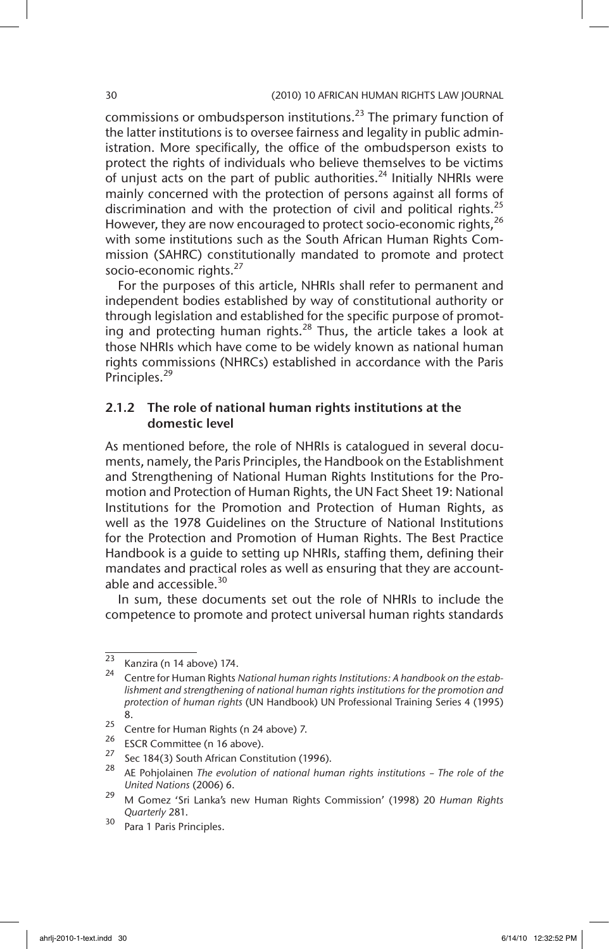commissions or ombudsperson institutions.<sup>23</sup> The primary function of the latter institutions is to oversee fairness and legality in public administration. More specifically, the office of the ombudsperson exists to protect the rights of individuals who believe themselves to be victims of unjust acts on the part of public authorities. $^{24}$  Initially NHRIs were mainly concerned with the protection of persons against all forms of discrimination and with the protection of civil and political rights.<sup>25</sup> However, they are now encouraged to protect socio-economic rights,<sup>26</sup> with some institutions such as the South African Human Rights Commission (SAHRC) constitutionally mandated to promote and protect socio-economic rights.<sup>27</sup>

For the purposes of this article, NHRIs shall refer to permanent and independent bodies established by way of constitutional authority or through legislation and established for the specific purpose of promoting and protecting human rights.<sup>28</sup> Thus, the article takes a look at those NHRIs which have come to be widely known as national human rights commissions (NHRCs) established in accordance with the Paris Principles.<sup>29</sup>

## 2.1.2 The role of national human rights institutions at the domestic level

As mentioned before, the role of NHRIs is catalogued in several documents, namely, the Paris Principles, the Handbook on the Establishment and Strengthening of National Human Rights Institutions for the Promotion and Protection of Human Rights, the UN Fact Sheet 19: National Institutions for the Promotion and Protection of Human Rights, as well as the 1978 Guidelines on the Structure of National Institutions for the Protection and Promotion of Human Rights. The Best Practice Handbook is a guide to setting up NHRIs, staffing them, defining their mandates and practical roles as well as ensuring that they are accountable and accessible.<sup>30</sup>

In sum, these documents set out the role of NHRIs to include the competence to promote and protect universal human rights standards

 $\frac{23}{24}$  Kanzira (n 14 above) 174.

<sup>24</sup> Centre for Human Rights *National human rights Institutions: A handbook on the establishment and strengthening of national human rights institutions for the promotion and protection of human rights* (UN Handbook) UN Professional Training Series 4 (1995) 8.

<sup>&</sup>lt;sup>25</sup> Centre for Human Rights (n 24 above) 7.<br><sup>26</sup> ESCP Committee (n 16 above)

<sup>&</sup>lt;sup>26</sup> ESCR Committee (n 16 above).

<sup>&</sup>lt;sup>27</sup> Sec 184(3) South African Constitution (1996).

<sup>28</sup> AE Pohjolainen *The evolution of national human rights institutions – The role of the United Nations* (2006) 6.

<sup>29</sup> M Gomez 'Sri Lanka's new Human Rights Commission' (1998) 20 *Human Rights Quarterly* 281.

<sup>30</sup> Para 1 Paris Principles.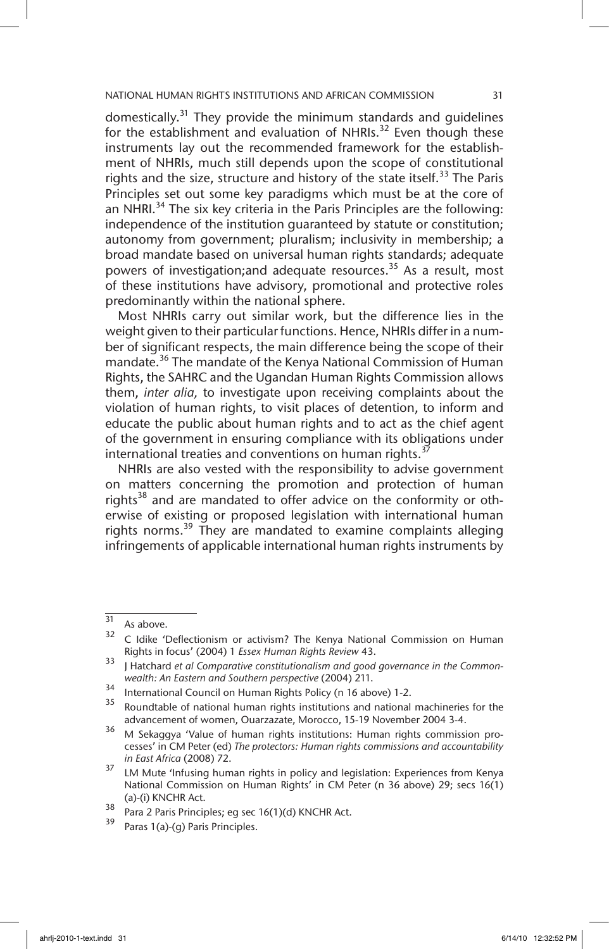domestically.<sup>31</sup> They provide the minimum standards and quidelines for the establishment and evaluation of NHRIs.<sup>32</sup> Even though these instruments lay out the recommended framework for the establishment of NHRIs, much still depends upon the scope of constitutional rights and the size, structure and history of the state itself.<sup>33</sup> The Paris Principles set out some key paradigms which must be at the core of an NHRI.<sup>34</sup> The six key criteria in the Paris Principles are the following: independence of the institution guaranteed by statute or constitution; autonomy from government; pluralism; inclusivity in membership; a broad mandate based on universal human rights standards; adequate powers of investigation;and adequate resources.<sup>35</sup> As a result, most of these institutions have advisory, promotional and protective roles predominantly within the national sphere.

Most NHRIs carry out similar work, but the difference lies in the weight given to their particular functions. Hence, NHRIs differ in a number of significant respects, the main difference being the scope of their mandate.<sup>36</sup> The mandate of the Kenya National Commission of Human Rights, the SAHRC and the Ugandan Human Rights Commission allows them, *inter alia,* to investigate upon receiving complaints about the violation of human rights, to visit places of detention, to inform and educate the public about human rights and to act as the chief agent of the government in ensuring compliance with its obligations under international treaties and conventions on human rights. $3<sup>3</sup>$ 

NHRIs are also vested with the responsibility to advise government on matters concerning the promotion and protection of human rights<sup>38</sup> and are mandated to offer advice on the conformity or otherwise of existing or proposed legislation with international human rights norms.<sup>39</sup> They are mandated to examine complaints alleging infringements of applicable international human rights instruments by

 $\frac{31}{32}$  As above.

<sup>32</sup> C Idike 'Deflectionism or activism? The Kenya National Commission on Human Rights in focus' (2004) 1 *Essex Human Rights Review* 43.

<sup>&</sup>lt;sup>33</sup> Hatchard *et al Comparative constitutionalism and good governance in the Commonwealth: An Eastern and Southern perspective* (2004) 211.

 $34$  International Council on Human Rights Policy (n 16 above) 1-2.<br> $35$  Deventable of potional buman rights institutions and pational

Roundtable of national human rights institutions and national machineries for the advancement of women, Ouarzazate, Morocco, 15-19 November 2004 3-4.

<sup>36</sup> M Sekaggya 'Value of human rights institutions: Human rights commission processes' in CM Peter (ed) *The protectors: Human rights commissions and accountability in East Africa* (2008) 72.

<sup>&</sup>lt;sup>37</sup> LM Mute 'Infusing human rights in policy and legislation: Experiences from Kenya National Commission on Human Rights' in CM Peter (n 36 above) 29; secs 16(1) (a)-(i) KNCHR Act.

<sup>38</sup> Para 2 Paris Principles; eg sec 16(1)(d) KNCHR Act.

Paras 1(a)-(g) Paris Principles.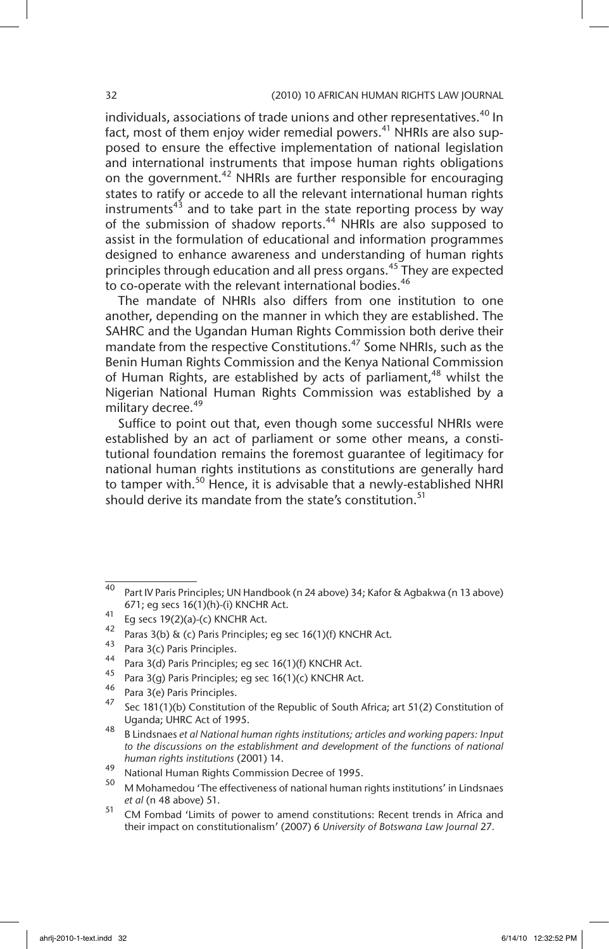individuals, associations of trade unions and other representatives.<sup>40</sup> In fact, most of them enjoy wider remedial powers.<sup>41</sup> NHRIs are also supposed to ensure the effective implementation of national legislation and international instruments that impose human rights obligations on the government.<sup>42</sup> NHRIs are further responsible for encouraging states to ratify or accede to all the relevant international human rights instruments<sup>43</sup> and to take part in the state reporting process by way of the submission of shadow reports.<sup>44</sup> NHRIs are also supposed to assist in the formulation of educational and information programmes designed to enhance awareness and understanding of human rights principles through education and all press organs.<sup>45</sup> They are expected to co-operate with the relevant international bodies.<sup>46</sup>

The mandate of NHRIs also differs from one institution to one another, depending on the manner in which they are established. The SAHRC and the Ugandan Human Rights Commission both derive their mandate from the respective Constitutions.<sup>47</sup> Some NHRIs, such as the Benin Human Rights Commission and the Kenya National Commission of Human Rights, are established by acts of parliament,  $48$  whilst the Nigerian National Human Rights Commission was established by a military decree.<sup>49</sup>

Suffice to point out that, even though some successful NHRIs were established by an act of parliament or some other means, a constitutional foundation remains the foremost guarantee of legitimacy for national human rights institutions as constitutions are generally hard to tamper with.<sup>50</sup> Hence, it is advisable that a newly-established NHRI should derive its mandate from the state's constitution.<sup>51</sup>

 $\frac{40}{40}$  Part IV Paris Principles; UN Handbook (n 24 above) 34; Kafor & Agbakwa (n 13 above) 671; eg secs 16(1)(h)-(i) KNCHR Act.

 $^{41}$  Eg secs 19(2)(a)-(c) KNCHR Act.

<sup>&</sup>lt;sup>42</sup> Paras 3(b) & (c) Paris Principles; eg sec 16(1)(f) KNCHR Act.<br><sup>43</sup> Paras 2(c) Paris Principles

 $^{43}$  Para 3(c) Paris Principles.

<sup>&</sup>lt;sup>44</sup> Para 3(d) Paris Principles; eg sec 16(1)(f) KNCHR Act.

<sup>&</sup>lt;sup>45</sup> Para 3(g) Paris Principles; eg sec 16(1)(c) KNCHR Act.<br><sup>46</sup> Paris 2003 Paris Principles

 $^{46}$  Para 3(e) Paris Principles.

Sec 181(1)(b) Constitution of the Republic of South Africa; art 51(2) Constitution of Uganda; UHRC Act of 1995.

<sup>48</sup> B Lindsnaes *et al National human rights institutions; articles and working papers: Input to the discussions on the establishment and development of the functions of national human rights institutions* (2001) 14.

<sup>49</sup> National Human Rights Commission Decree of 1995.

<sup>50</sup> M Mohamedou 'The effectiveness of national human rights institutions' in Lindsnaes *et al* (n 48 above) 51.

<sup>51</sup> CM Fombad 'Limits of power to amend constitutions: Recent trends in Africa and their impact on constitutionalism' (2007) 6 *University of Botswana Law Journal* 27*.*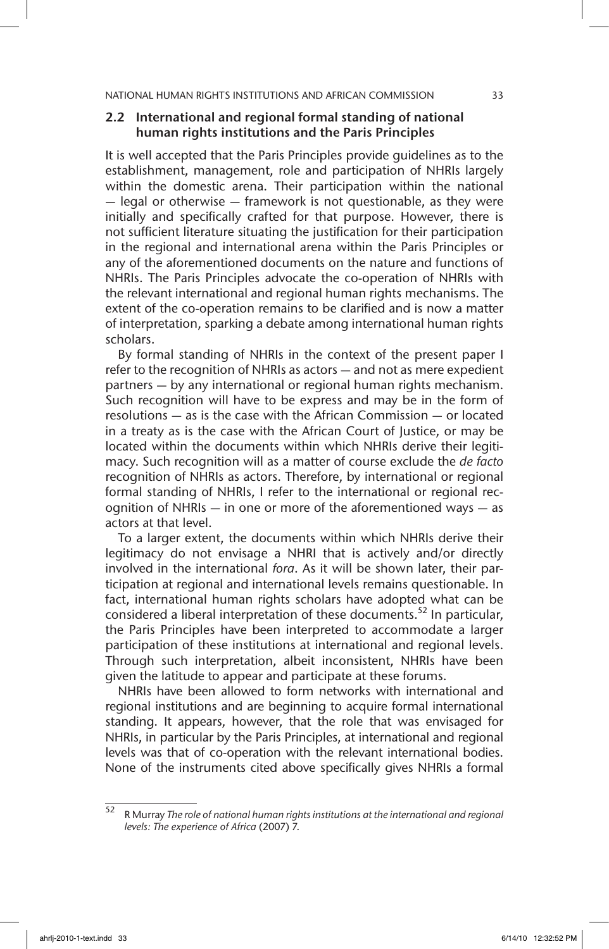#### 2.2 International and regional formal standing of national human rights institutions and the Paris Principles

It is well accepted that the Paris Principles provide guidelines as to the establishment, management, role and participation of NHRIs largely within the domestic arena. Their participation within the national — legal or otherwise — framework is not questionable, as they were initially and specifically crafted for that purpose. However, there is not sufficient literature situating the justification for their participation in the regional and international arena within the Paris Principles or any of the aforementioned documents on the nature and functions of NHRIs. The Paris Principles advocate the co-operation of NHRIs with the relevant international and regional human rights mechanisms. The extent of the co-operation remains to be clarified and is now a matter of interpretation, sparking a debate among international human rights scholars.

By formal standing of NHRIs in the context of the present paper I refer to the recognition of NHRIs as actors — and not as mere expedient partners — by any international or regional human rights mechanism. Such recognition will have to be express and may be in the form of resolutions — as is the case with the African Commission — or located in a treaty as is the case with the African Court of Justice, or may be located within the documents within which NHRIs derive their legitimacy. Such recognition will as a matter of course exclude the *de facto* recognition of NHRIs as actors. Therefore, by international or regional formal standing of NHRIs, I refer to the international or regional recognition of NHRIs — in one or more of the aforementioned ways — as actors at that level.

To a larger extent, the documents within which NHRIs derive their legitimacy do not envisage a NHRI that is actively and/or directly involved in the international *fora*. As it will be shown later, their participation at regional and international levels remains questionable. In fact, international human rights scholars have adopted what can be considered a liberal interpretation of these documents.<sup>52</sup> In particular, the Paris Principles have been interpreted to accommodate a larger participation of these institutions at international and regional levels. Through such interpretation, albeit inconsistent, NHRIs have been given the latitude to appear and participate at these forums.

NHRIs have been allowed to form networks with international and regional institutions and are beginning to acquire formal international standing. It appears, however, that the role that was envisaged for NHRIs, in particular by the Paris Principles, at international and regional levels was that of co-operation with the relevant international bodies. None of the instruments cited above specifically gives NHRIs a formal

<sup>52</sup> R Murray *The role of national human rights institutions at the international and regional levels: The experience of Africa* (2007) 7.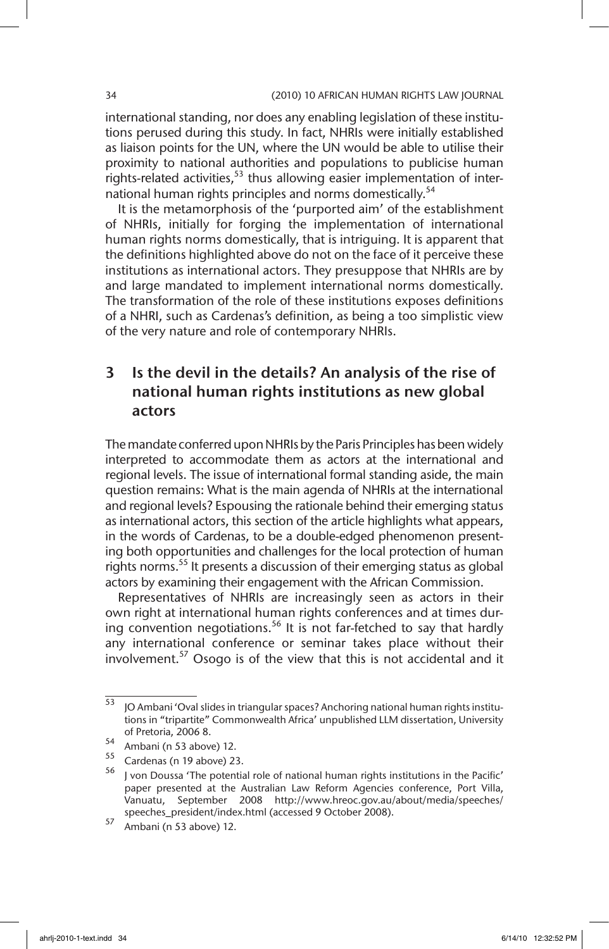international standing, nor does any enabling legislation of these institutions perused during this study. In fact, NHRIs were initially established as liaison points for the UN, where the UN would be able to utilise their proximity to national authorities and populations to publicise human rights-related activities,<sup>53</sup> thus allowing easier implementation of international human rights principles and norms domestically.<sup>54</sup>

It is the metamorphosis of the 'purported aim' of the establishment of NHRIs, initially for forging the implementation of international human rights norms domestically, that is intriguing. It is apparent that the definitions highlighted above do not on the face of it perceive these institutions as international actors. They presuppose that NHRIs are by and large mandated to implement international norms domestically. The transformation of the role of these institutions exposes definitions of a NHRI, such as Cardenas's definition, as being a too simplistic view of the very nature and role of contemporary NHRIs.

# 3 Is the devil in the details? An analysis of the rise of national human rights institutions as new global actors

The mandate conferred upon NHRIs by the Paris Principles has been widely interpreted to accommodate them as actors at the international and regional levels. The issue of international formal standing aside, the main question remains: What is the main agenda of NHRIs at the international and regional levels? Espousing the rationale behind their emerging status as international actors, this section of the article highlights what appears, in the words of Cardenas, to be a double-edged phenomenon presenting both opportunities and challenges for the local protection of human rights norms.<sup>55</sup> It presents a discussion of their emerging status as global actors by examining their engagement with the African Commission.

Representatives of NHRIs are increasingly seen as actors in their own right at international human rights conferences and at times during convention negotiations.<sup>56</sup> It is not far-fetched to say that hardly any international conference or seminar takes place without their involvement.57 Osogo is of the view that this is not accidental and it

<sup>53</sup> JO Ambani 'Oval slides in triangular spaces? Anchoring national human rights institutions in "tripartite" Commonwealth Africa' unpublished LLM dissertation, University of Pretoria, 2006 8.

 $54$  Ambani (n 53 above) 12.

Cardenas (n 19 above) 23.

 $56$  I von Doussa 'The potential role of national human rights institutions in the Pacific' paper presented at the Australian Law Reform Agencies conference, Port Villa, Vanuatu, September 2008 http://www.hreoc.gov.au/about/media/speeches/ speeches\_president/index.html (accessed 9 October 2008).

 $57$  Ambani (n 53 above) 12.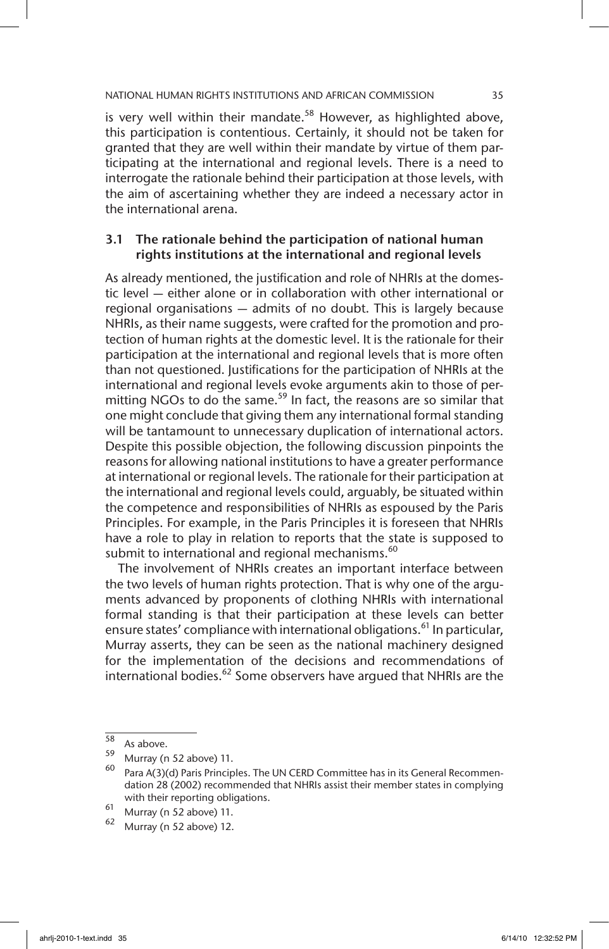is very well within their mandate.<sup>58</sup> However, as highlighted above, this participation is contentious. Certainly, it should not be taken for granted that they are well within their mandate by virtue of them participating at the international and regional levels. There is a need to interrogate the rationale behind their participation at those levels, with the aim of ascertaining whether they are indeed a necessary actor in the international arena.

## 3.1 The rationale behind the participation of national human rights institutions at the international and regional levels

As already mentioned, the justification and role of NHRIs at the domestic level — either alone or in collaboration with other international or regional organisations — admits of no doubt. This is largely because NHRIs, as their name suggests, were crafted for the promotion and protection of human rights at the domestic level. It is the rationale for their participation at the international and regional levels that is more often than not questioned. Justifications for the participation of NHRIs at the international and regional levels evoke arguments akin to those of permitting NGOs to do the same.<sup>59</sup> In fact, the reasons are so similar that one might conclude that giving them any international formal standing will be tantamount to unnecessary duplication of international actors. Despite this possible objection, the following discussion pinpoints the reasons for allowing national institutions to have a greater performance at international or regional levels. The rationale for their participation at the international and regional levels could, arguably, be situated within the competence and responsibilities of NHRIs as espoused by the Paris Principles. For example, in the Paris Principles it is foreseen that NHRIs have a role to play in relation to reports that the state is supposed to submit to international and regional mechanisms.<sup>60</sup>

The involvement of NHRIs creates an important interface between the two levels of human rights protection. That is why one of the arguments advanced by proponents of clothing NHRIs with international formal standing is that their participation at these levels can better ensure states' compliance with international obligations.<sup>61</sup> In particular, Murray asserts, they can be seen as the national machinery designed for the implementation of the decisions and recommendations of international bodies.<sup>62</sup> Some observers have argued that NHRIs are the

 $\frac{58}{59}$  As above.

 $^{59}$  Murray (n 52 above) 11.

Para A(3)(d) Paris Principles. The UN CERD Committee has in its General Recommendation 28 (2002) recommended that NHRIs assist their member states in complying with their reporting obligations.

 $61$  Murray (n 52 above) 11.

Murray (n 52 above) 12.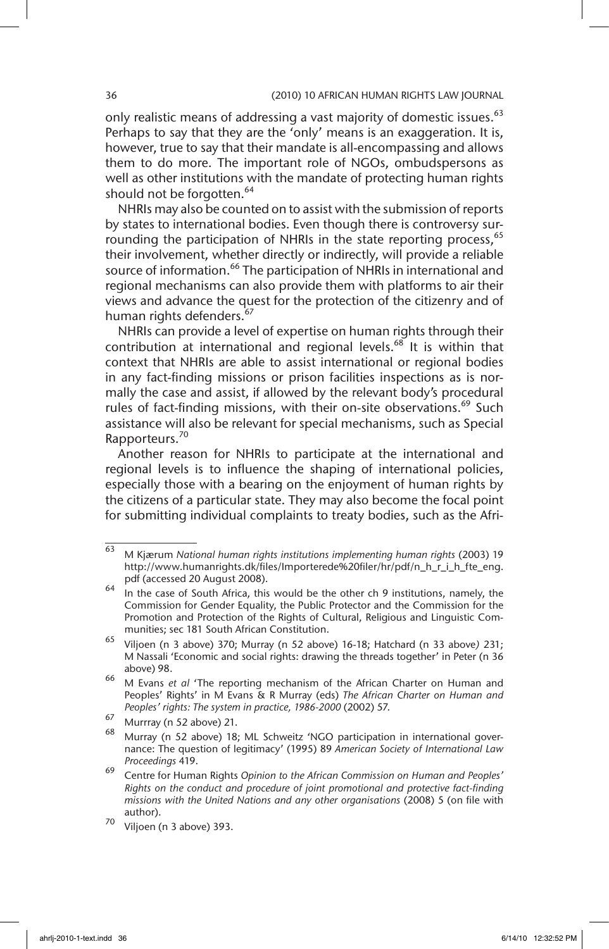only realistic means of addressing a vast majority of domestic issues.<sup>63</sup> Perhaps to say that they are the 'only' means is an exaggeration. It is, however, true to say that their mandate is all-encompassing and allows them to do more. The important role of NGOs, ombudspersons as well as other institutions with the mandate of protecting human rights should not be forgotten.<sup>64</sup>

NHRIs may also be counted on to assist with the submission of reports by states to international bodies. Even though there is controversy surrounding the participation of NHRIs in the state reporting process,<sup>65</sup> their involvement, whether directly or indirectly, will provide a reliable source of information.<sup>66</sup> The participation of NHRIs in international and regional mechanisms can also provide them with platforms to air their views and advance the quest for the protection of the citizenry and of human rights defenders.<sup>67</sup>

NHRIs can provide a level of expertise on human rights through their contribution at international and regional levels.<sup>68</sup> It is within that context that NHRIs are able to assist international or regional bodies in any fact-finding missions or prison facilities inspections as is normally the case and assist, if allowed by the relevant body's procedural rules of fact-finding missions, with their on-site observations.<sup>69</sup> Such assistance will also be relevant for special mechanisms, such as Special Rapporteurs.<sup>70</sup>

Another reason for NHRIs to participate at the international and regional levels is to influence the shaping of international policies, especially those with a bearing on the enjoyment of human rights by the citizens of a particular state. They may also become the focal point for submitting individual complaints to treaty bodies, such as the Afri-

<sup>63</sup> M Kjærum *National human rights institutions implementing human rights* (2003) 19 http://www.humanrights.dk/files/Importerede%20filer/hr/pdf/n\_h\_r\_i\_h\_fte\_eng. pdf (accessed 20 August 2008).

 $\frac{64}{10}$  in the case of South Africa, this would be the other ch 9 institutions, namely, the Commission for Gender Equality, the Public Protector and the Commission for the Promotion and Protection of the Rights of Cultural, Religious and Linguistic Communities; sec 181 South African Constitution.

<sup>65</sup> Viljoen (n 3 above) 370; Murray (n 52 above) 16-18; Hatchard (n 33 above*)* 231; M Nassali 'Economic and social rights: drawing the threads together' in Peter (n 36 above) 98.

<sup>66</sup> M Evans *et al* 'The reporting mechanism of the African Charter on Human and Peoples' Rights' in M Evans & R Murray (eds) *The African Charter on Human and Peoples' rights: The system in practice, 1986-2000* (2002) 57.

 $\frac{67}{68}$  Murrray (n 52 above) 21.

Murray (n 52 above) 18; ML Schweitz 'NGO participation in international governance: The question of legitimacy' (1995) 89 *American Society of International Law Proceedings* 419.

<sup>69</sup> Centre for Human Rights *Opinion to the African Commission on Human and Peoples' Rights on the conduct and procedure of joint promotional and protective fact-finding missions with the United Nations and any other organisations* (2008) 5 (on file with author).

<sup>70</sup> Viljoen (n 3 above) 393.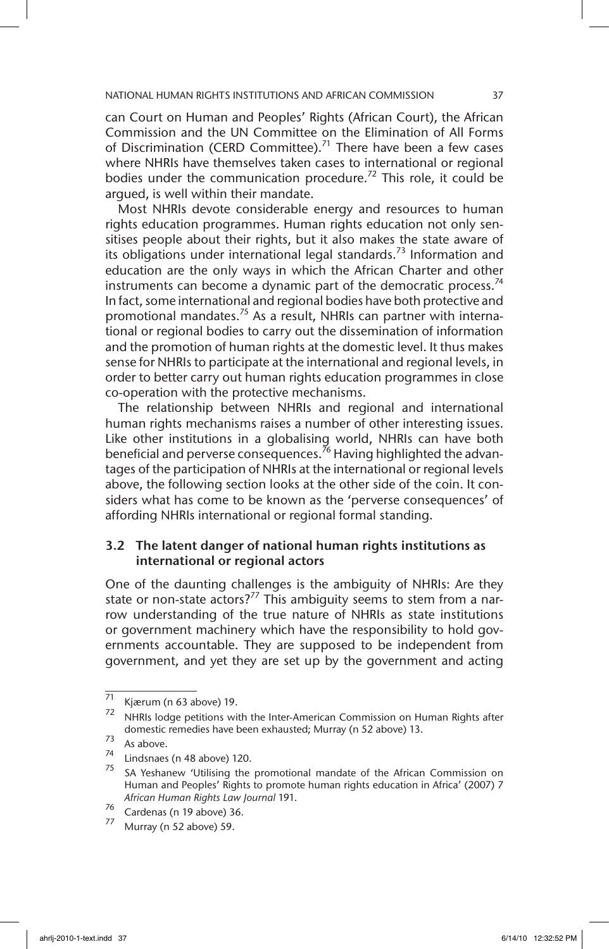can Court on Human and Peoples' Rights (African Court), the African Commission and the UN Committee on the Elimination of All Forms of Discrimination (CERD Committee).<sup>71</sup> There have been a few cases where NHRIs have themselves taken cases to international or regional bodies under the communication procedure.<sup>72</sup> This role, it could be argued, is well within their mandate.

Most NHRIs devote considerable energy and resources to human rights education programmes. Human rights education not only sensitises people about their rights, but it also makes the state aware of its obligations under international legal standards.<sup>73</sup> Information and education are the only ways in which the African Charter and other instruments can become a dynamic part of the democratic process.<sup>74</sup> In fact, some international and regional bodies have both protective and promotional mandates.<sup>75</sup> As a result, NHRIs can partner with international or regional bodies to carry out the dissemination of information and the promotion of human rights at the domestic level. It thus makes sense for NHRIs to participate at the international and regional levels, in order to better carry out human rights education programmes in close co-operation with the protective mechanisms.

The relationship between NHRIs and regional and international human rights mechanisms raises a number of other interesting issues. Like other institutions in a globalising world, NHRIs can have both beneficial and perverse consequences.<sup>76</sup> Having highlighted the advantages of the participation of NHRIs at the international or regional levels above, the following section looks at the other side of the coin. It considers what has come to be known as the 'perverse consequences' of affording NHRIs international or regional formal standing.

## 3.2 The latent danger of national human rights institutions as international or regional actors

One of the daunting challenges is the ambiguity of NHRIs: Are they state or non-state actors?<sup>77</sup> This ambiguity seems to stem from a narrow understanding of the true nature of NHRIs as state institutions or government machinery which have the responsibility to hold governments accountable. They are supposed to be independent from government, and yet they are set up by the government and acting

 $\overline{71}$  Kjærum (n 63 above) 19.

NHRIs lodge petitions with the Inter-American Commission on Human Rights after domestic remedies have been exhausted; Murray (n 52 above) 13.

 $\frac{73}{74}$  As above.

 $^{74}$  Lindsnaes (n 48 above) 120.

SA Yeshanew 'Utilising the promotional mandate of the African Commission on Human and Peoples' Rights to promote human rights education in Africa' (2007) 7 *African Human Rights Law Journal* 191.

<sup>76</sup> Cardenas (n 19 above) 36.

Murray (n 52 above) 59.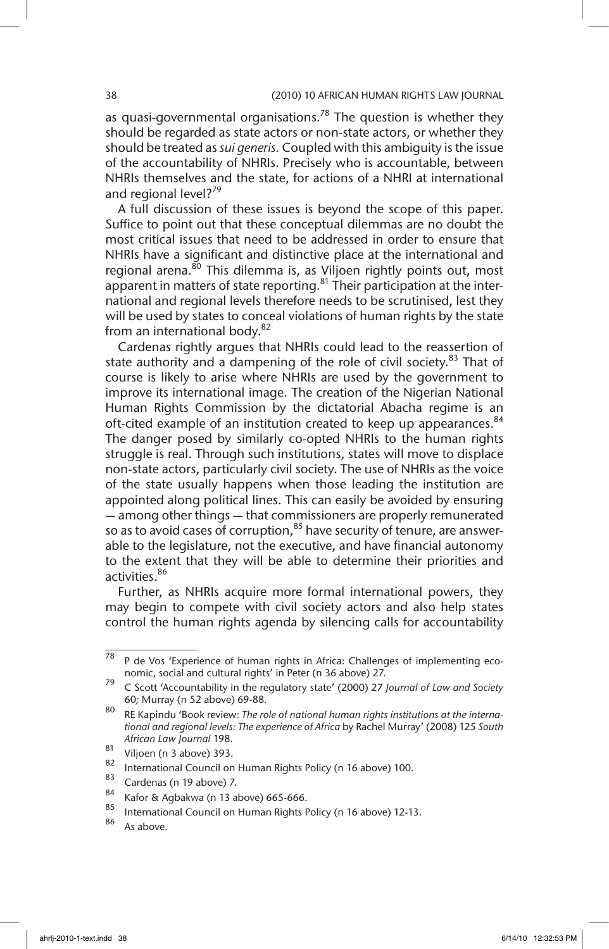as quasi-governmental organisations.<sup>78</sup> The question is whether they should be regarded as state actors or non-state actors, or whether they should be treated as *sui generis.* Coupled with this ambiguity is the issue of the accountability of NHRIs. Precisely who is accountable, between NHRIs themselves and the state, for actions of a NHRI at international and regional level?<sup>79</sup>

A full discussion of these issues is beyond the scope of this paper. Suffice to point out that these conceptual dilemmas are no doubt the most critical issues that need to be addressed in order to ensure that NHRIs have a significant and distinctive place at the international and regional arena.<sup>80</sup> This dilemma is, as Viljoen rightly points out, most apparent in matters of state reporting.  $81$  Their participation at the international and regional levels therefore needs to be scrutinised, lest they will be used by states to conceal violations of human rights by the state from an international body.<sup>82</sup>

Cardenas rightly argues that NHRIs could lead to the reassertion of state authority and a dampening of the role of civil society.<sup>83</sup> That of course is likely to arise where NHRIs are used by the government to improve its international image. The creation of the Nigerian National Human Rights Commission by the dictatorial Abacha regime is an oft-cited example of an institution created to keep up appearances.<sup>84</sup> The danger posed by similarly co-opted NHRIs to the human rights struggle is real. Through such institutions, states will move to displace non-state actors, particularly civil society. The use of NHRIs as the voice of the state usually happens when those leading the institution are appointed along political lines. This can easily be avoided by ensuring — among other things — that commissioners are properly remunerated so as to avoid cases of corruption,  $85$  have security of tenure, are answerable to the legislature, not the executive, and have financial autonomy to the extent that they will be able to determine their priorities and activities.86

Further, as NHRIs acquire more formal international powers, they may begin to compete with civil society actors and also help states control the human rights agenda by silencing calls for accountability

 $\overline{78}$  P de Vos 'Experience of human rights in Africa: Challenges of implementing economic, social and cultural rights' in Peter (n 36 above) 27.

<sup>79</sup> C Scott 'Accountability in the regulatory state' (2000) 27 *Journal of Law and Society*  60*;* Murray (n 52 above) 69-88*.* 

<sup>80</sup> RE Kapindu 'Book review: *The role of national human rights institutions at the international and regional levels: The experience of Africa* by Rachel Murray' (2008) 125 *South African Law Journal* 198.

 $\begin{array}{c} 81 \\ 82 \end{array}$  Viljoen (n 3 above) 393.

<sup>&</sup>lt;sup>82</sup> International Council on Human Rights Policy (n 16 above) 100.

 $\frac{83}{84}$  Cardenas (n 19 above) 7.

 $^{84}$  Kafor & Agbakwa (n 13 above) 665-666.

 $\frac{85}{100}$  International Council on Human Rights Policy (n 16 above) 12-13.

As above.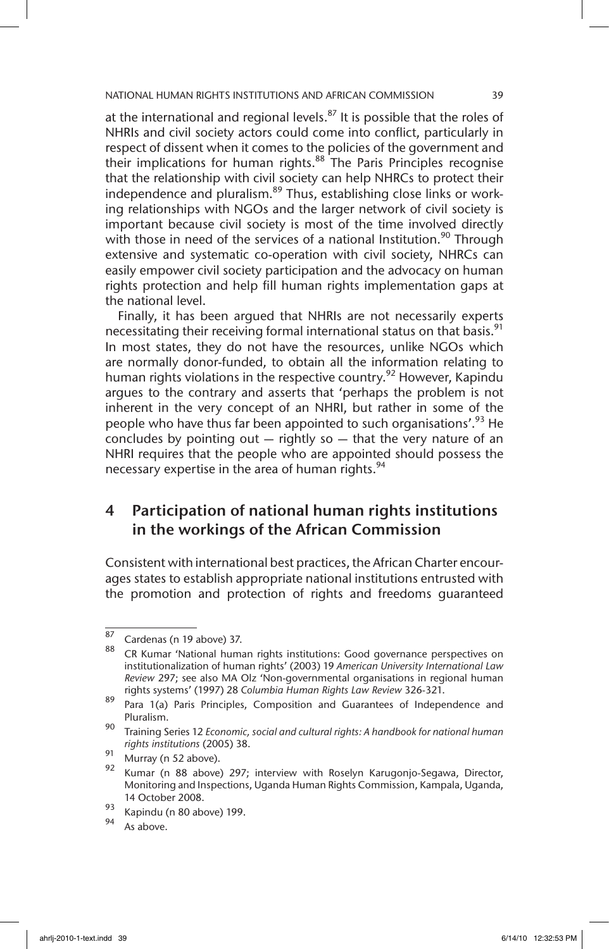at the international and regional levels. $87$  It is possible that the roles of NHRIs and civil society actors could come into conflict, particularly in respect of dissent when it comes to the policies of the government and their implications for human rights.<sup>88</sup> The Paris Principles recognise that the relationship with civil society can help NHRCs to protect their independence and pluralism.<sup>89</sup> Thus, establishing close links or working relationships with NGOs and the larger network of civil society is important because civil society is most of the time involved directly with those in need of the services of a national Institution.<sup>90</sup> Through extensive and systematic co-operation with civil society, NHRCs can easily empower civil society participation and the advocacy on human rights protection and help fill human rights implementation gaps at the national level.

Finally, it has been argued that NHRIs are not necessarily experts necessitating their receiving formal international status on that basis.<sup>91</sup> In most states, they do not have the resources, unlike NGOs which are normally donor-funded, to obtain all the information relating to human rights violations in the respective country.<sup>92</sup> However, Kapindu argues to the contrary and asserts that 'perhaps the problem is not inherent in the very concept of an NHRI, but rather in some of the people who have thus far been appointed to such organisations'.<sup>93</sup> He concludes by pointing out  $-$  rightly so  $-$  that the very nature of an NHRI requires that the people who are appointed should possess the necessary expertise in the area of human rights.<sup>94</sup>

# 4 Participation of national human rights institutions in the workings of the African Commission

Consistent with international best practices, the African Charter encourages states to establish appropriate national institutions entrusted with the promotion and protection of rights and freedoms guaranteed

 $\frac{87}{88}$  Cardenas (n 19 above) 37.

CR Kumar 'National human rights institutions: Good governance perspectives on institutionalization of human rights' (2003) 19 *American University International Law Review* 297; see also MA Olz 'Non-governmental organisations in regional human rights systems' (1997) 28 *Columbia Human Rights Law Review* 326-321.

 $89$  Para 1(a) Paris Principles, Composition and Guarantees of Independence and Pluralism.

<sup>90</sup> Training Series 12 *Economic, social and cultural rights: A handbook for national human rights institutions* (2005) 38.

 $\frac{91}{92}$  Murray (n 52 above).

Kumar (n 88 above) 297; interview with Roselyn Karugonjo-Segawa, Director, Monitoring and Inspections, Uganda Human Rights Commission, Kampala, Uganda, 14 October 2008.

 $^{93}$  Kapindu (n 80 above) 199.

As above.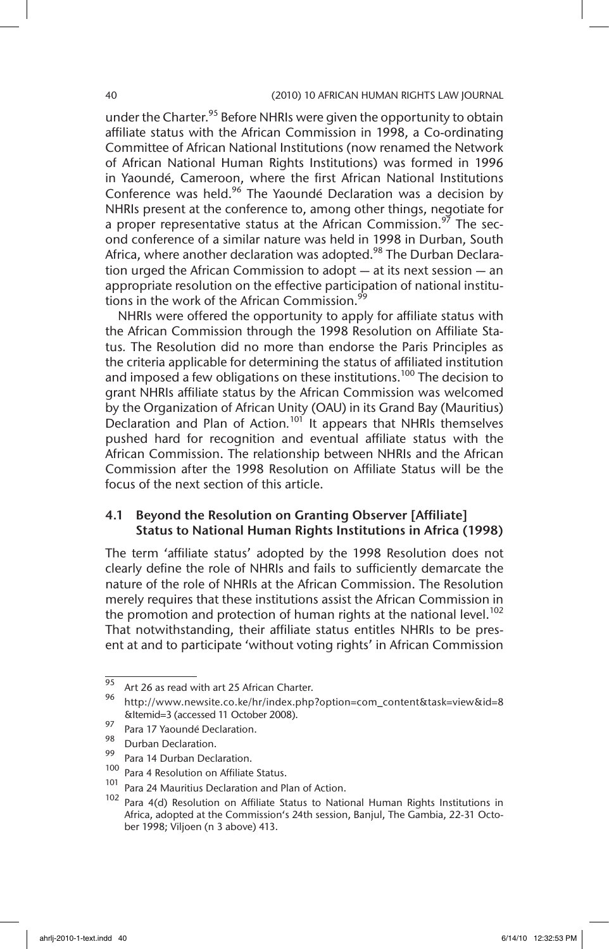under the Charter.<sup>95</sup> Before NHRIs were given the opportunity to obtain affiliate status with the African Commission in 1998, a Co-ordinating Committee of African National Institutions (now renamed the Network of African National Human Rights Institutions) was formed in 1996 in Yaoundé, Cameroon, where the first African National Institutions Conference was held.<sup>96</sup> The Yaoundé Declaration was a decision by NHRIs present at the conference to, among other things, negotiate for a proper representative status at the African Commission.<sup>97</sup> The second conference of a similar nature was held in 1998 in Durban, South Africa, where another declaration was adopted.<sup>98</sup> The Durban Declaration urged the African Commission to adopt — at its next session — an appropriate resolution on the effective participation of national institutions in the work of the African Commission.<sup>99</sup>

NHRIs were offered the opportunity to apply for affiliate status with the African Commission through the 1998 Resolution on Affiliate Status*.* The Resolution did no more than endorse the Paris Principles as the criteria applicable for determining the status of affiliated institution and imposed a few obligations on these institutions.<sup>100</sup> The decision to grant NHRIs affiliate status by the African Commission was welcomed by the Organization of African Unity (OAU) in its Grand Bay (Mauritius) Declaration and Plan of Action.<sup>101</sup> It appears that NHRIs themselves pushed hard for recognition and eventual affiliate status with the African Commission. The relationship between NHRIs and the African Commission after the 1998 Resolution on Affiliate Status will be the focus of the next section of this article.

#### 4.1 Beyond the Resolution on Granting Observer [Affiliate] Status to National Human Rights Institutions in Africa (1998)

The term 'affiliate status' adopted by the 1998 Resolution does not clearly define the role of NHRIs and fails to sufficiently demarcate the nature of the role of NHRIs at the African Commission. The Resolution merely requires that these institutions assist the African Commission in the promotion and protection of human rights at the national level.<sup>102</sup> That notwithstanding, their affiliate status entitles NHRIs to be present at and to participate 'without voting rights' in African Commission

 $^{95}$  Art 26 as read with art 25 African Charter.

<sup>96</sup> http://www.newsite.co.ke/hr/index.php?option=com\_content&task=view&id=8 &Itemid=3 (accessed 11 October 2008).

 $^{97}$  Para 17 Yaoundé Declaration.

 $\frac{98}{99}$  Durban Declaration.

 $\frac{99}{100}$  Para 14 Durban Declaration.

 $\frac{100}{101}$  Para 4 Resolution on Affiliate Status.

<sup>&</sup>lt;sup>101</sup> Para 24 Mauritius Declaration and Plan of Action.

Para 4(d) Resolution on Affiliate Status to National Human Rights Institutions in Africa, adopted at the Commission's 24th session, Banjul, The Gambia, 22-31 October 1998; Viljoen (n 3 above) 413.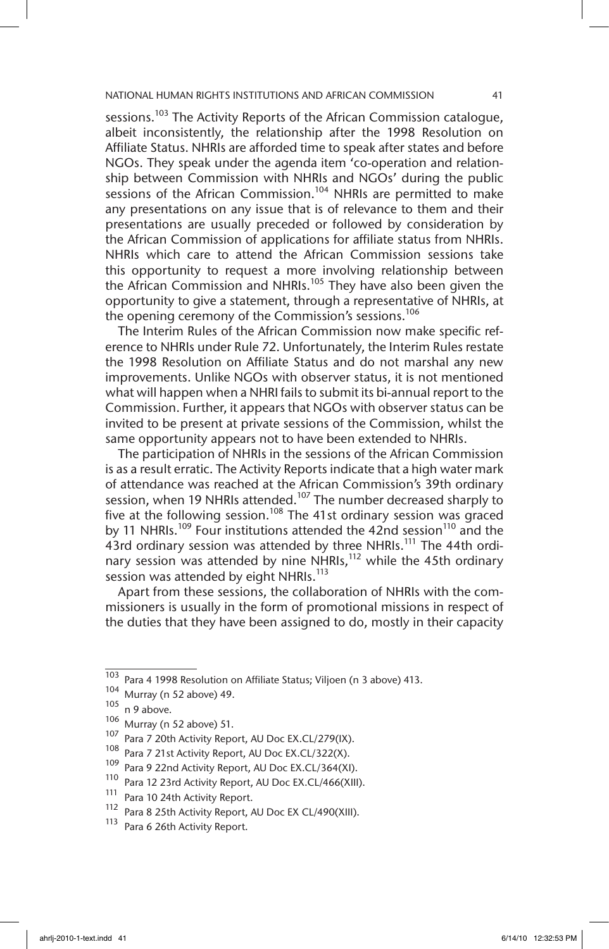sessions.<sup>103</sup> The Activity Reports of the African Commission catalogue, albeit inconsistently, the relationship after the 1998 Resolution on Affiliate Status. NHRIs are afforded time to speak after states and before NGOs. They speak under the agenda item 'co-operation and relationship between Commission with NHRIs and NGOs' during the public sessions of the African Commission.<sup>104</sup> NHRIs are permitted to make any presentations on any issue that is of relevance to them and their presentations are usually preceded or followed by consideration by the African Commission of applications for affiliate status from NHRIs. NHRIs which care to attend the African Commission sessions take this opportunity to request a more involving relationship between the African Commission and NHRIs.<sup>105</sup> They have also been given the opportunity to give a statement, through a representative of NHRIs, at the opening ceremony of the Commission's sessions.<sup>106</sup>

The Interim Rules of the African Commission now make specific reference to NHRIs under Rule 72. Unfortunately, the Interim Rules restate the 1998 Resolution on Affiliate Status and do not marshal any new improvements. Unlike NGOs with observer status, it is not mentioned what will happen when a NHRI fails to submit its bi-annual report to the Commission. Further, it appears that NGOs with observer status can be invited to be present at private sessions of the Commission, whilst the same opportunity appears not to have been extended to NHRIs.

The participation of NHRIs in the sessions of the African Commission is as a result erratic. The Activity Reports indicate that a high water mark of attendance was reached at the African Commission's 39th ordinary session, when 19 NHRIs attended.<sup>107</sup> The number decreased sharply to five at the following session.<sup>108</sup> The 41st ordinary session was graced by 11 NHRIs.<sup>109</sup> Four institutions attended the 42nd session<sup>110</sup> and the 43rd ordinary session was attended by three NHRIs.<sup>111</sup> The 44th ordinary session was attended by nine NHRIs, $112$  while the 45th ordinary session was attended by eight NHRIs.<sup>113</sup>

Apart from these sessions, the collaboration of NHRIs with the commissioners is usually in the form of promotional missions in respect of the duties that they have been assigned to do, mostly in their capacity

 $\frac{103}{103}$  Para 4 1998 Resolution on Affiliate Status; Viljoen (n 3 above) 413.

<sup>104</sup> Murray (n 52 above) 49.

 $105$  n 9 above.

 $\frac{106}{107}$  Murray (n 52 above) 51.

Para 7 20th Activity Report, AU Doc EX.CL/279(IX).

<sup>108</sup> Para 7 21st Activity Report, AU Doc EX.CL/322(X).

<sup>&</sup>lt;sup>109</sup> Para 9 22nd Activity Report, AU Doc EX.CL/364(XI).

<sup>110</sup> Para 12 23rd Activity Report, AU Doc EX.CL/466(XIII).

<sup>&</sup>lt;sup>111</sup> Para 10 24th Activity Report.<br><sup>112</sup> Para 8 25th Activity Report.

Para 8 25th Activity Report, AU Doc EX CL/490(XIII).

<sup>113</sup> Para 6 26th Activity Report.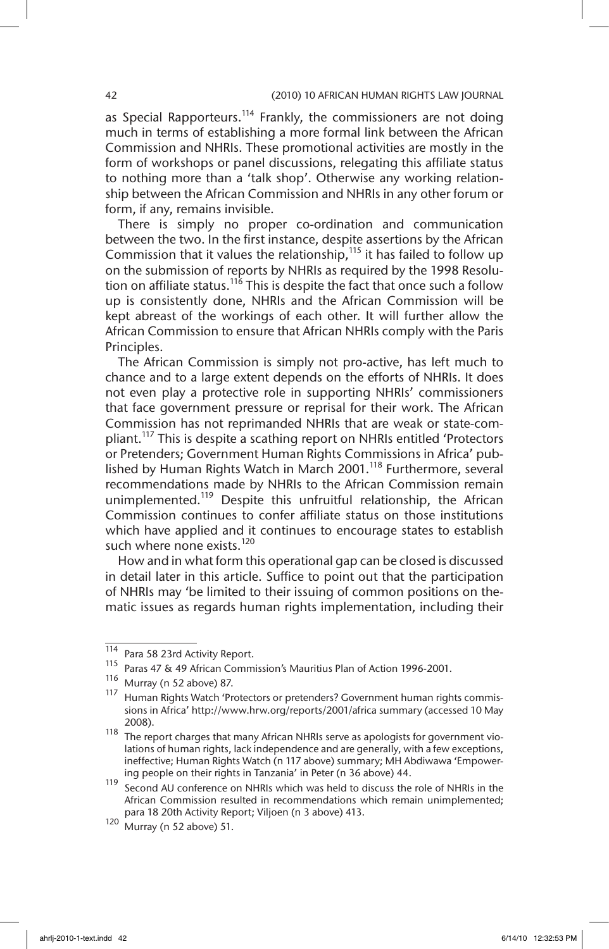as Special Rapporteurs.<sup>114</sup> Frankly, the commissioners are not doing much in terms of establishing a more formal link between the African Commission and NHRIs. These promotional activities are mostly in the form of workshops or panel discussions, relegating this affiliate status to nothing more than a 'talk shop'. Otherwise any working relationship between the African Commission and NHRIs in any other forum or form, if any, remains invisible.

There is simply no proper co-ordination and communication between the two. In the first instance, despite assertions by the African Commission that it values the relationship,  $115$  it has failed to follow up on the submission of reports by NHRIs as required by the 1998 Resolution on affiliate status.<sup>116</sup> This is despite the fact that once such a follow up is consistently done, NHRIs and the African Commission will be kept abreast of the workings of each other. It will further allow the African Commission to ensure that African NHRIs comply with the Paris Principles.

The African Commission is simply not pro-active, has left much to chance and to a large extent depends on the efforts of NHRIs. It does not even play a protective role in supporting NHRIs' commissioners that face government pressure or reprisal for their work. The African Commission has not reprimanded NHRIs that are weak or state-compliant.<sup>117</sup> This is despite a scathing report on NHRIs entitled 'Protectors' or Pretenders; Government Human Rights Commissions in Africa' published by Human Rights Watch in March 2001.<sup>118</sup> Furthermore, several recommendations made by NHRIs to the African Commission remain unimplemented.<sup>119</sup> Despite this unfruitful relationship, the African Commission continues to confer affiliate status on those institutions which have applied and it continues to encourage states to establish such where none exists.<sup>120</sup>

How and in what form this operational gap can be closed is discussed in detail later in this article. Suffice to point out that the participation of NHRIs may 'be limited to their issuing of common positions on thematic issues as regards human rights implementation, including their

<sup>114</sup> Para 58 23rd Activity Report.

<sup>115</sup> Paras 47 & 49 African Commission's Mauritius Plan of Action 1996-2001.

<sup>116</sup> Murray (n 52 above) 87.

<sup>117</sup> Human Rights Watch 'Protectors or pretenders? Government human rights commissions in Africa' http://www.hrw.org/reports/2001/africa summary (accessed 10 May 2008).

<sup>118</sup> The report charges that many African NHRIs serve as apologists for government violations of human rights, lack independence and are generally, with a few exceptions, ineffective; Human Rights Watch (n 117 above) summary; MH Abdiwawa 'Empowering people on their rights in Tanzania' in Peter (n 36 above) 44.

<sup>119</sup> Second AU conference on NHRIs which was held to discuss the role of NHRIs in the African Commission resulted in recommendations which remain unimplemented; para 18 20th Activity Report; Viljoen (n 3 above) 413.

 $120$  Murray (n 52 above) 51.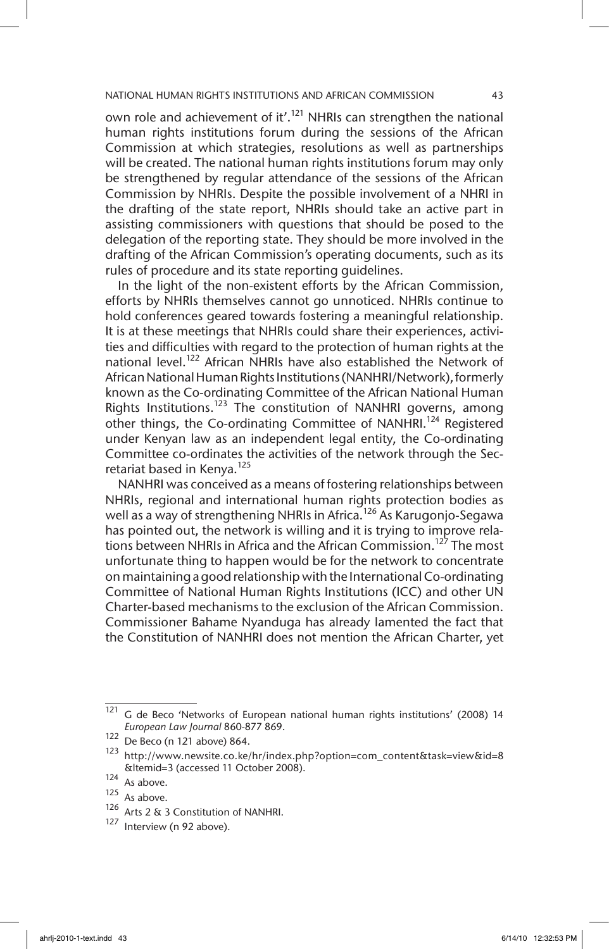own role and achievement of it'.<sup>121</sup> NHRIs can strengthen the national human rights institutions forum during the sessions of the African Commission at which strategies, resolutions as well as partnerships will be created. The national human rights institutions forum may only be strengthened by regular attendance of the sessions of the African Commission by NHRIs. Despite the possible involvement of a NHRI in the drafting of the state report, NHRIs should take an active part in assisting commissioners with questions that should be posed to the delegation of the reporting state. They should be more involved in the drafting of the African Commission's operating documents, such as its rules of procedure and its state reporting guidelines.

In the light of the non-existent efforts by the African Commission, efforts by NHRIs themselves cannot go unnoticed. NHRIs continue to hold conferences geared towards fostering a meaningful relationship. It is at these meetings that NHRIs could share their experiences, activities and difficulties with regard to the protection of human rights at the national level.<sup>122</sup> African NHRIs have also established the Network of African National Human Rights Institutions (NANHRI/Network), formerly known as the Co-ordinating Committee of the African National Human Rights Institutions.<sup>123</sup> The constitution of NANHRI governs, among other things, the Co-ordinating Committee of NANHRI.<sup>124</sup> Registered under Kenyan law as an independent legal entity, the Co-ordinating Committee co-ordinates the activities of the network through the Secretariat based in Kenya.<sup>125</sup>

NANHRI was conceived as a means of fostering relationships between NHRIs, regional and international human rights protection bodies as well as a way of strengthening NHRIs in Africa.<sup>126</sup> As Karugonjo-Segawa has pointed out, the network is willing and it is trying to improve relations between NHRIs in Africa and the African Commission.<sup>127</sup> The most unfortunate thing to happen would be for the network to concentrate on maintaining a good relationship with the International Co-ordinating Committee of National Human Rights Institutions (ICC) and other UN Charter-based mechanisms to the exclusion of the African Commission. Commissioner Bahame Nyanduga has already lamented the fact that the Constitution of NANHRI does not mention the African Charter, yet

<sup>&</sup>lt;sup>121</sup> G de Beco 'Networks of European national human rights institutions' (2008) 14 *European Law Journal* 860-877 869.

<sup>122</sup> De Beco (n 121 above) 864.

<sup>123</sup> http://www.newsite.co.ke/hr/index.php?option=com\_content&task=view&id=8 &Itemid=3 (accessed 11 October 2008).

 $\frac{124}{125}$  As above.

 $\frac{125}{126}$  As above.

Arts 2 & 3 Constitution of NANHRI.

Interview (n 92 above).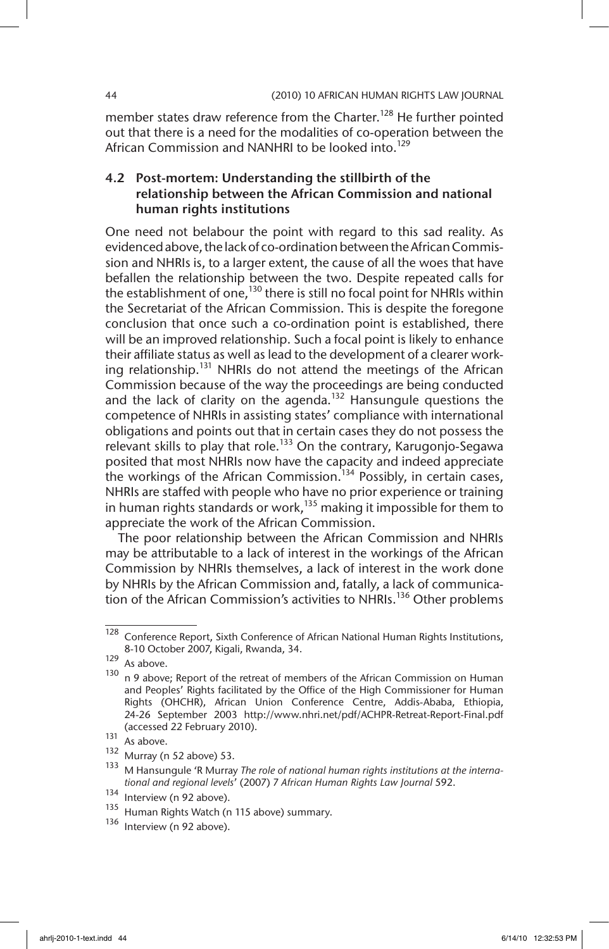member states draw reference from the Charter.<sup>128</sup> He further pointed out that there is a need for the modalities of co-operation between the African Commission and NANHRI to be looked into.<sup>129</sup>

## 4.2 Post-mortem: Understanding the stillbirth of the relationship between the African Commission and national human rights institutions

One need not belabour the point with regard to this sad reality. As evidenced above, the lack of co-ordination between the African Commission and NHRIs is, to a larger extent, the cause of all the woes that have befallen the relationship between the two. Despite repeated calls for the establishment of one,<sup>130</sup> there is still no focal point for NHRIs within the Secretariat of the African Commission. This is despite the foregone conclusion that once such a co-ordination point is established, there will be an improved relationship. Such a focal point is likely to enhance their affiliate status as well as lead to the development of a clearer working relationship.<sup>131</sup> NHRIs do not attend the meetings of the African Commission because of the way the proceedings are being conducted and the lack of clarity on the agenda.<sup>132</sup> Hansungule questions the competence of NHRIs in assisting states' compliance with international obligations and points out that in certain cases they do not possess the relevant skills to play that role.<sup>133</sup> On the contrary, Karugonjo-Segawa posited that most NHRIs now have the capacity and indeed appreciate the workings of the African Commission.<sup>134</sup> Possibly, in certain cases, NHRIs are staffed with people who have no prior experience or training in human rights standards or work,<sup>135</sup> making it impossible for them to appreciate the work of the African Commission.

The poor relationship between the African Commission and NHRIs may be attributable to a lack of interest in the workings of the African Commission by NHRIs themselves, a lack of interest in the work done by NHRIs by the African Commission and, fatally, a lack of communication of the African Commission's activities to NHRIs.<sup>136</sup> Other problems

<sup>128</sup> Conference Report, Sixth Conference of African National Human Rights Institutions, 8-10 October 2007, Kigali, Rwanda, 34.

 $129$  As above.

 $130$  n 9 above; Report of the retreat of members of the African Commission on Human and Peoples' Rights facilitated by the Office of the High Commissioner for Human Rights (OHCHR), African Union Conference Centre, Addis-Ababa, Ethiopia, 24-26 September 2003 http://www.nhri.net/pdf/ACHPR-Retreat-Report-Final.pdf (accessed 22 February 2010).

 $131$  As above.

 $\frac{132}{133}$  Murray (n 52 above) 53.

<sup>133</sup> M Hansungule 'R Murray *The role of national human rights institutions at the international and regional levels*' (2007) 7 *African Human Rights Law Journal* 592.

 $\frac{134}{135}$  Interview (n 92 above).

 $135$  Human Rights Watch (n 115 above) summary.<br> $136$  Interview (n 02 above)

Interview (n 92 above).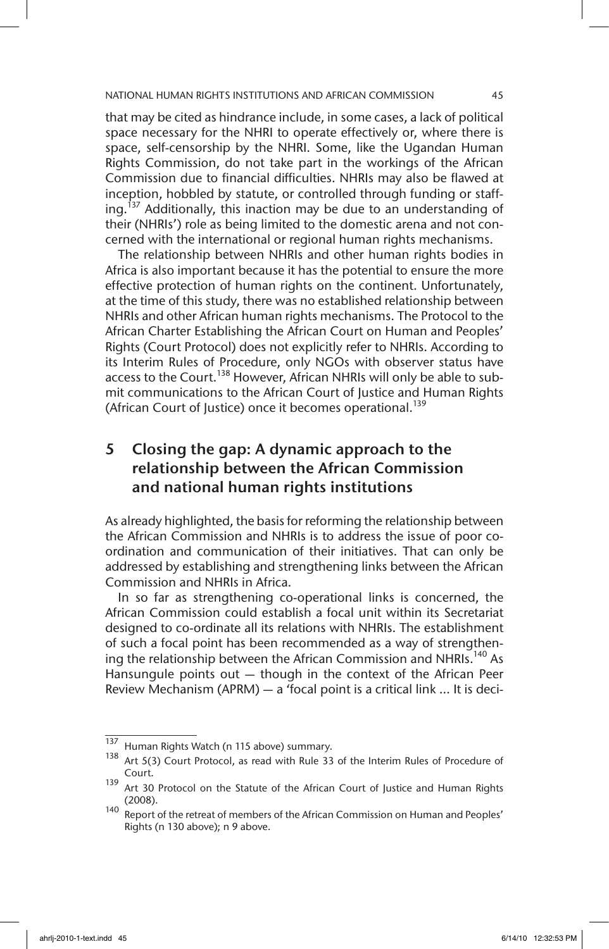that may be cited as hindrance include, in some cases, a lack of political space necessary for the NHRI to operate effectively or, where there is space, self-censorship by the NHRI. Some, like the Ugandan Human Rights Commission, do not take part in the workings of the African Commission due to financial difficulties. NHRIs may also be flawed at inception, hobbled by statute, or controlled through funding or staffing.<sup>137</sup> Additionally, this inaction may be due to an understanding of their (NHRIs') role as being limited to the domestic arena and not concerned with the international or regional human rights mechanisms.

The relationship between NHRIs and other human rights bodies in Africa is also important because it has the potential to ensure the more effective protection of human rights on the continent. Unfortunately, at the time of this study, there was no established relationship between NHRIs and other African human rights mechanisms. The Protocol to the African Charter Establishing the African Court on Human and Peoples' Rights (Court Protocol) does not explicitly refer to NHRIs. According to its Interim Rules of Procedure, only NGOs with observer status have access to the Court.<sup>138</sup> However, African NHRIs will only be able to submit communications to the African Court of Justice and Human Rights (African Court of Justice) once it becomes operational.<sup>139</sup>

# 5 Closing the gap: A dynamic approach to the relationship between the African Commission and national human rights institutions

As already highlighted, the basis for reforming the relationship between the African Commission and NHRIs is to address the issue of poor coordination and communication of their initiatives. That can only be addressed by establishing and strengthening links between the African Commission and NHRIs in Africa.

In so far as strengthening co-operational links is concerned, the African Commission could establish a focal unit within its Secretariat designed to co-ordinate all its relations with NHRIs. The establishment of such a focal point has been recommended as a way of strengthening the relationship between the African Commission and NHRIs.<sup>140</sup> As Hansungule points out — though in the context of the African Peer Review Mechanism (APRM) — a 'focal point is a critical link … It is deci-

<sup>137</sup> Human Rights Watch (n 115 above) summary.

<sup>138</sup> Art 5(3) Court Protocol, as read with Rule 33 of the Interim Rules of Procedure of Court.

<sup>&</sup>lt;sup>139</sup> Art 30 Protocol on the Statute of the African Court of Justice and Human Rights (2008).

<sup>140</sup> Report of the retreat of members of the African Commission on Human and Peoples' Rights (n 130 above); n 9 above.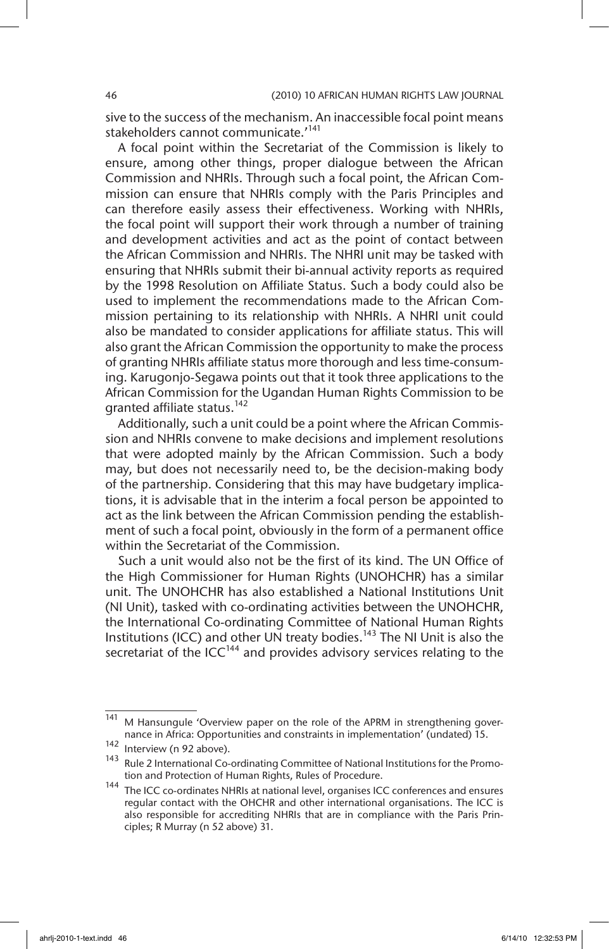sive to the success of the mechanism. An inaccessible focal point means stakeholders cannot communicate.'<sup>141</sup>

A focal point within the Secretariat of the Commission is likely to ensure, among other things, proper dialogue between the African Commission and NHRIs. Through such a focal point, the African Commission can ensure that NHRIs comply with the Paris Principles and can therefore easily assess their effectiveness. Working with NHRIs, the focal point will support their work through a number of training and development activities and act as the point of contact between the African Commission and NHRIs. The NHRI unit may be tasked with ensuring that NHRIs submit their bi-annual activity reports as required by the 1998 Resolution on Affiliate Status. Such a body could also be used to implement the recommendations made to the African Commission pertaining to its relationship with NHRIs. A NHRI unit could also be mandated to consider applications for affiliate status. This will also grant the African Commission the opportunity to make the process of granting NHRIs affiliate status more thorough and less time-consuming. Karugonjo-Segawa points out that it took three applications to the African Commission for the Ugandan Human Rights Commission to be granted affiliate status.<sup>142</sup>

Additionally, such a unit could be a point where the African Commission and NHRIs convene to make decisions and implement resolutions that were adopted mainly by the African Commission. Such a body may, but does not necessarily need to, be the decision-making body of the partnership. Considering that this may have budgetary implications, it is advisable that in the interim a focal person be appointed to act as the link between the African Commission pending the establishment of such a focal point, obviously in the form of a permanent office within the Secretariat of the Commission.

Such a unit would also not be the first of its kind. The UN Office of the High Commissioner for Human Rights (UNOHCHR) has a similar unit. The UNOHCHR has also established a National Institutions Unit (NI Unit), tasked with co-ordinating activities between the UNOHCHR, the International Co-ordinating Committee of National Human Rights Institutions (ICC) and other UN treaty bodies.<sup>143</sup> The NI Unit is also the secretariat of the  $ICC<sup>144</sup>$  and provides advisory services relating to the

<sup>&</sup>lt;sup>141</sup> M Hansungule 'Overview paper on the role of the APRM in strengthening governance in Africa: Opportunities and constraints in implementation' (undated) 15.

 $\frac{142}{143}$  Interview (n 92 above).

Rule 2 International Co-ordinating Committee of National Institutions for the Promotion and Protection of Human Rights, Rules of Procedure.

<sup>144</sup> The ICC co-ordinates NHRIs at national level, organises ICC conferences and ensures regular contact with the OHCHR and other international organisations. The ICC is also responsible for accrediting NHRIs that are in compliance with the Paris Principles; R Murray (n 52 above) 31.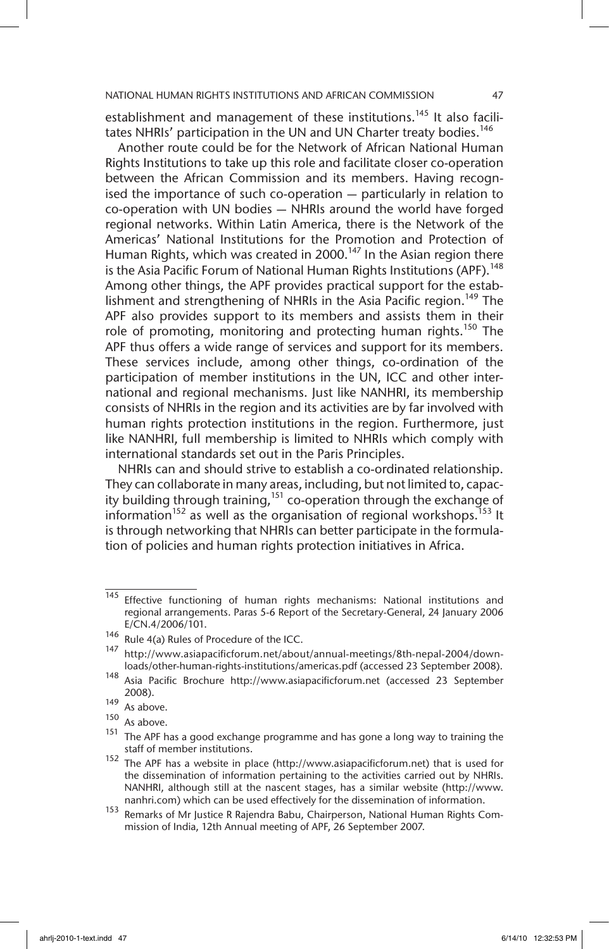establishment and management of these institutions.<sup>145</sup> It also facilitates NHRIs' participation in the UN and UN Charter treaty bodies.<sup>146</sup>

Another route could be for the Network of African National Human Rights Institutions to take up this role and facilitate closer co-operation between the African Commission and its members. Having recognised the importance of such co-operation — particularly in relation to co-operation with UN bodies — NHRIs around the world have forged regional networks. Within Latin America, there is the Network of the Americas' National Institutions for the Promotion and Protection of Human Rights, which was created in 2000.<sup>147</sup> In the Asian region there is the Asia Pacific Forum of National Human Rights Institutions (APF).<sup>148</sup> Among other things, the APF provides practical support for the establishment and strengthening of NHRIs in the Asia Pacific region.<sup>149</sup> The APF also provides support to its members and assists them in their role of promoting, monitoring and protecting human rights.<sup>150</sup> The APF thus offers a wide range of services and support for its members. These services include, among other things, co-ordination of the participation of member institutions in the UN, ICC and other international and regional mechanisms. Just like NANHRI, its membership consists of NHRIs in the region and its activities are by far involved with human rights protection institutions in the region. Furthermore, just like NANHRI, full membership is limited to NHRIs which comply with international standards set out in the Paris Principles.

NHRIs can and should strive to establish a co-ordinated relationship. They can collaborate in many areas, including, but not limited to, capacity building through training,  $151$  co-operation through the exchange of information<sup>152</sup> as well as the organisation of regional workshops.<sup>153</sup> It is through networking that NHRIs can better participate in the formulation of policies and human rights protection initiatives in Africa.

<sup>145</sup> Effective functioning of human rights mechanisms: National institutions and regional arrangements. Paras 5-6 Report of the Secretary-General, 24 January 2006 E/CN.4/2006/101.

<sup>146</sup> Rule 4(a) Rules of Procedure of the ICC.

<sup>147</sup> http://www.asiapacificforum.net/about/annual-meetings/8th-nepal-2004/downloads/other-human-rights-institutions/americas.pdf (accessed 23 September 2008).

<sup>148</sup> Asia Pacific Brochure http://www.asiapacificforum.net (accessed 23 September 2008).

 $\frac{149}{150}$  As above.

As above.

 $151$  The APF has a good exchange programme and has gone a long way to training the staff of member institutions.

<sup>152</sup> The APF has a website in place (http://www.asiapacificforum.net) that is used for the dissemination of information pertaining to the activities carried out by NHRIs. NANHRI, although still at the nascent stages, has a similar website (http://www. nanhri.com) which can be used effectively for the dissemination of information.

<sup>153</sup> Remarks of Mr Justice R Rajendra Babu, Chairperson, National Human Rights Commission of India, 12th Annual meeting of APF, 26 September 2007.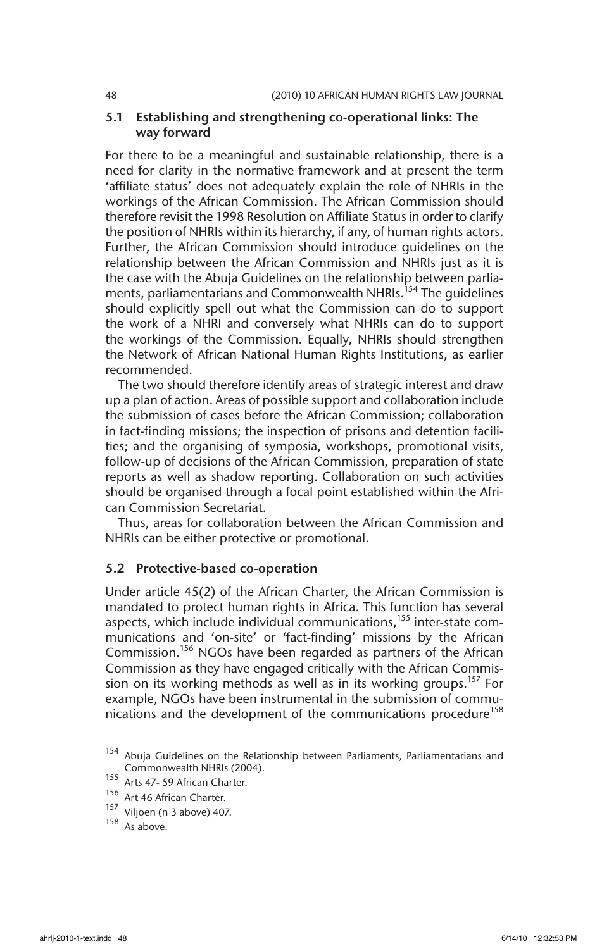## 5.1 Establishing and strengthening co-operational links: The way forward

For there to be a meaningful and sustainable relationship, there is a need for clarity in the normative framework and at present the term 'affiliate status' does not adequately explain the role of NHRIs in the workings of the African Commission. The African Commission should therefore revisit the 1998 Resolution on Affiliate Status in order to clarify the position of NHRIs within its hierarchy, if any, of human rights actors. Further, the African Commission should introduce guidelines on the relationship between the African Commission and NHRIs just as it is the case with the Abuja Guidelines on the relationship between parliaments, parliamentarians and Commonwealth NHRIs.<sup>154</sup> The quidelines should explicitly spell out what the Commission can do to support the work of a NHRI and conversely what NHRIs can do to support the workings of the Commission. Equally, NHRIs should strengthen the Network of African National Human Rights Institutions, as earlier recommended.

The two should therefore identify areas of strategic interest and draw up a plan of action. Areas of possible support and collaboration include the submission of cases before the African Commission; collaboration in fact-finding missions; the inspection of prisons and detention facilities; and the organising of symposia, workshops, promotional visits, follow-up of decisions of the African Commission, preparation of state reports as well as shadow reporting. Collaboration on such activities should be organised through a focal point established within the African Commission Secretariat.

Thus, areas for collaboration between the African Commission and NHRIs can be either protective or promotional.

#### 5.2 Protective-based co-operation

Under article 45(2) of the African Charter, the African Commission is mandated to protect human rights in Africa. This function has several aspects, which include individual communications,<sup>155</sup> inter-state communications and 'on-site' or 'fact-finding' missions by the African Commission.<sup>156</sup> NGOs have been regarded as partners of the African Commission as they have engaged critically with the African Commission on its working methods as well as in its working groups.<sup>157</sup> For example, NGOs have been instrumental in the submission of communications and the development of the communications procedure<sup>158</sup>

<sup>154</sup> Abuja Guidelines on the Relationship between Parliaments, Parliamentarians and Commonwealth NHRIs (2004).

<sup>155</sup> Arts 47- 59 African Charter.

<sup>156</sup> Art 46 African Charter.

<sup>157</sup> Viljoen (n 3 above) 407.

<sup>158</sup> As above.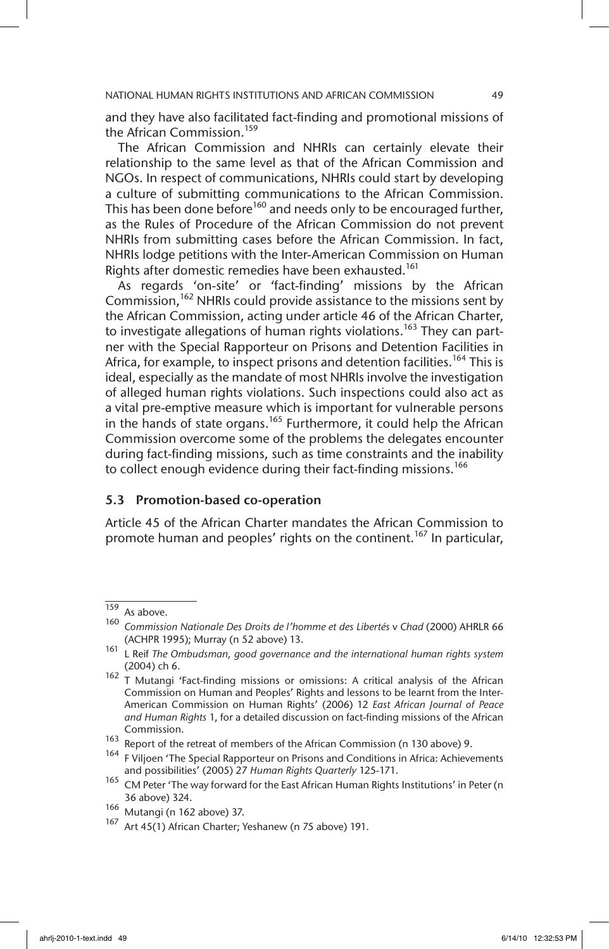and they have also facilitated fact-finding and promotional missions of the African Commission.<sup>159</sup>

The African Commission and NHRIs can certainly elevate their relationship to the same level as that of the African Commission and NGOs. In respect of communications, NHRIs could start by developing a culture of submitting communications to the African Commission. This has been done before<sup>160</sup> and needs only to be encouraged further, as the Rules of Procedure of the African Commission do not prevent NHRIs from submitting cases before the African Commission. In fact, NHRIs lodge petitions with the Inter-American Commission on Human Rights after domestic remedies have been exhausted.<sup>161</sup>

As regards 'on-site' or 'fact-finding' missions by the African Commission,<sup>162</sup> NHRIs could provide assistance to the missions sent by the African Commission, acting under article 46 of the African Charter, to investigate allegations of human rights violations.<sup>163</sup> They can partner with the Special Rapporteur on Prisons and Detention Facilities in Africa, for example, to inspect prisons and detention facilities.<sup>164</sup> This is ideal, especially as the mandate of most NHRIs involve the investigation of alleged human rights violations. Such inspections could also act as a vital pre-emptive measure which is important for vulnerable persons in the hands of state organs.<sup>165</sup> Furthermore, it could help the African Commission overcome some of the problems the delegates encounter during fact-finding missions, such as time constraints and the inability to collect enough evidence during their fact-finding missions.<sup>166</sup>

#### 5.3 Promotion-based co-operation

Article 45 of the African Charter mandates the African Commission to promote human and peoples' rights on the continent.<sup>167</sup> In particular,

 $\frac{159}{160}$  As above.

<sup>160</sup> *Commission Nationale Des Droits de l'homme et des Libertés* v *Chad* (2000) AHRLR 66 (ACHPR 1995); Murray (n 52 above) 13.

<sup>161</sup> L Reif *The Ombudsman, good governance and the international human rights system* (2004) ch 6.

<sup>&</sup>lt;sup>162</sup> T Mutangi 'Fact-finding missions or omissions: A critical analysis of the African Commission on Human and Peoples' Rights and lessons to be learnt from the Inter-American Commission on Human Rights' (2006) 12 *East African Journal of Peace and Human Rights* 1, for a detailed discussion on fact-finding missions of the African Commission.

<sup>163</sup> Report of the retreat of members of the African Commission (n 130 above) 9.

<sup>&</sup>lt;sup>164</sup> F Viljoen 'The Special Rapporteur on Prisons and Conditions in Africa: Achievements and possibilities' (2005) 27 *Human Rights Quarterly* 125-171.

<sup>&</sup>lt;sup>165</sup> CM Peter 'The way forward for the East African Human Rights Institutions' in Peter (n 36 above) 324.

<sup>166</sup> Mutangi (n 162 above) 37.

<sup>&</sup>lt;sup>167</sup> Art 45(1) African Charter; Yeshanew (n 75 above) 191.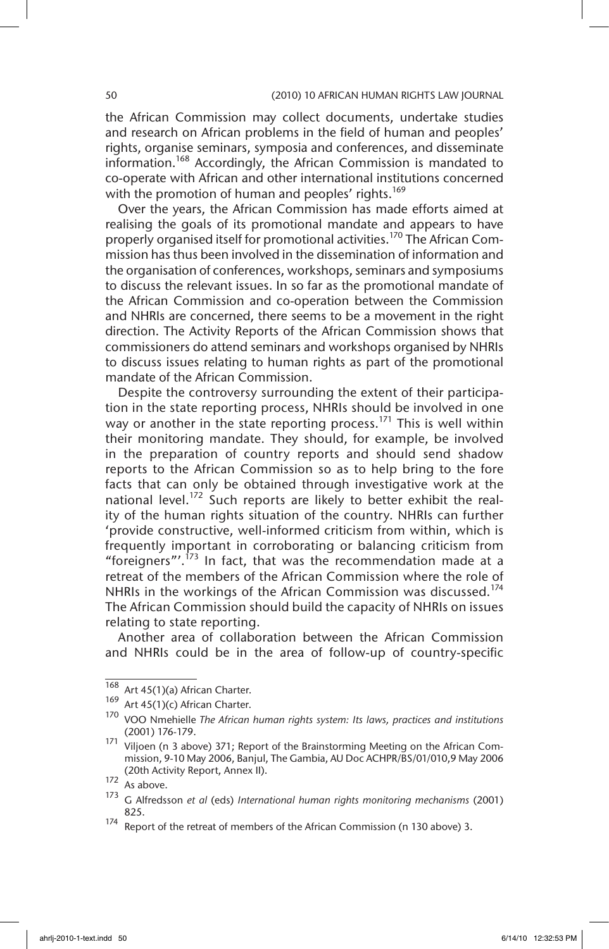the African Commission may collect documents, undertake studies and research on African problems in the field of human and peoples' rights, organise seminars, symposia and conferences, and disseminate information.168 Accordingly, the African Commission is mandated to co-operate with African and other international institutions concerned with the promotion of human and peoples' rights.<sup>169</sup>

Over the years, the African Commission has made efforts aimed at realising the goals of its promotional mandate and appears to have properly organised itself for promotional activities.<sup>170</sup> The African Commission has thus been involved in the dissemination of information and the organisation of conferences, workshops, seminars and symposiums to discuss the relevant issues. In so far as the promotional mandate of the African Commission and co-operation between the Commission and NHRIs are concerned, there seems to be a movement in the right direction. The Activity Reports of the African Commission shows that commissioners do attend seminars and workshops organised by NHRIs to discuss issues relating to human rights as part of the promotional mandate of the African Commission.

Despite the controversy surrounding the extent of their participation in the state reporting process, NHRIs should be involved in one way or another in the state reporting process.<sup>171</sup> This is well within their monitoring mandate. They should, for example, be involved in the preparation of country reports and should send shadow reports to the African Commission so as to help bring to the fore facts that can only be obtained through investigative work at the national level.<sup>172</sup> Such reports are likely to better exhibit the reality of the human rights situation of the country. NHRIs can further 'provide constructive, well-informed criticism from within, which is frequently important in corroborating or balancing criticism from "foreigners"'. $^{173}$  In fact, that was the recommendation made at a retreat of the members of the African Commission where the role of NHRIs in the workings of the African Commission was discussed.<sup>174</sup> The African Commission should build the capacity of NHRIs on issues relating to state reporting.

Another area of collaboration between the African Commission and NHRIs could be in the area of follow-up of country-specific

 $\overline{168}$  Art 45(1)(a) African Charter.

<sup>169</sup> Art 45(1)(c) African Charter.

<sup>170</sup> VOO Nmehielle *The African human rights system: Its laws, practices and institutions* (2001) 176-179.

<sup>&</sup>lt;sup>171</sup> Viljoen (n 3 above) 371; Report of the Brainstorming Meeting on the African Commission, 9-10 May 2006, Banjul, The Gambia, AU Doc ACHPR/BS/01/010,9 May 2006 (20th Activity Report, Annex II).

 $172$  As above.

<sup>173</sup> G Alfredsson *et al* (eds) *International human rights monitoring mechanisms* (2001) 825.

<sup>174</sup> Report of the retreat of members of the African Commission (n 130 above) 3.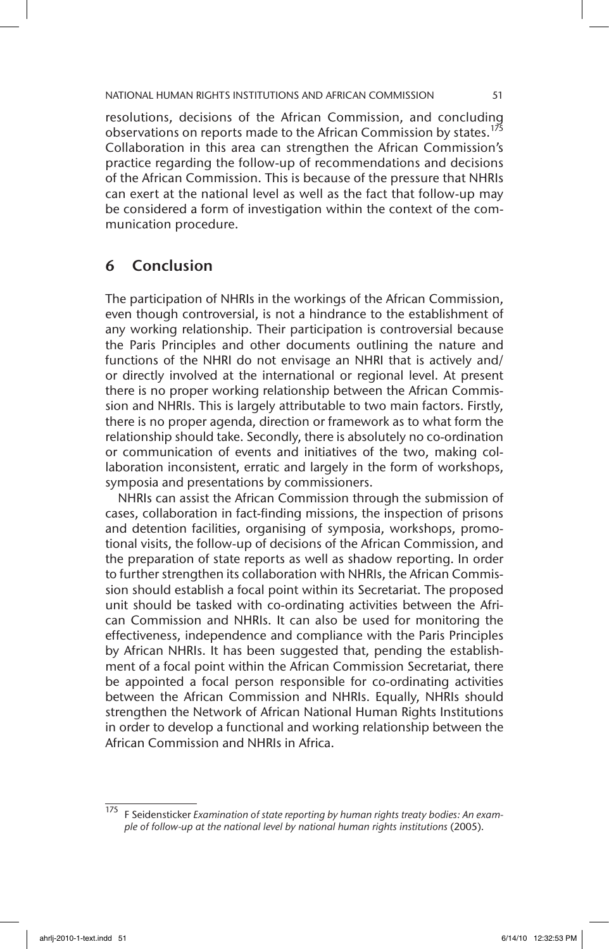resolutions, decisions of the African Commission, and concluding observations on reports made to the African Commission by states.<sup>175</sup> Collaboration in this area can strengthen the African Commission's practice regarding the follow-up of recommendations and decisions of the African Commission. This is because of the pressure that NHRIs can exert at the national level as well as the fact that follow-up may be considered a form of investigation within the context of the communication procedure.

## 6 Conclusion

The participation of NHRIs in the workings of the African Commission, even though controversial, is not a hindrance to the establishment of any working relationship. Their participation is controversial because the Paris Principles and other documents outlining the nature and functions of the NHRI do not envisage an NHRI that is actively and/ or directly involved at the international or regional level. At present there is no proper working relationship between the African Commission and NHRIs. This is largely attributable to two main factors. Firstly, there is no proper agenda, direction or framework as to what form the relationship should take. Secondly, there is absolutely no co-ordination or communication of events and initiatives of the two, making collaboration inconsistent, erratic and largely in the form of workshops, symposia and presentations by commissioners.

NHRIs can assist the African Commission through the submission of cases, collaboration in fact-finding missions, the inspection of prisons and detention facilities, organising of symposia, workshops, promotional visits, the follow-up of decisions of the African Commission, and the preparation of state reports as well as shadow reporting. In order to further strengthen its collaboration with NHRIs, the African Commission should establish a focal point within its Secretariat. The proposed unit should be tasked with co-ordinating activities between the African Commission and NHRIs. It can also be used for monitoring the effectiveness, independence and compliance with the Paris Principles by African NHRIs. It has been suggested that, pending the establishment of a focal point within the African Commission Secretariat, there be appointed a focal person responsible for co-ordinating activities between the African Commission and NHRIs. Equally, NHRIs should strengthen the Network of African National Human Rights Institutions in order to develop a functional and working relationship between the African Commission and NHRIs in Africa.

<sup>175</sup> F Seidensticker *Examination of state reporting by human rights treaty bodies: An example of follow-up at the national level by national human rights institutions* (2005).